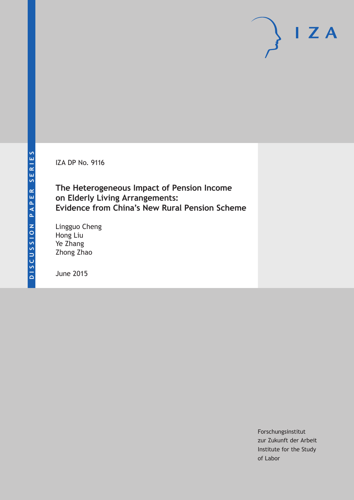IZA DP No. 9116

**The Heterogeneous Impact of Pension Income on Elderly Living Arrangements: Evidence from China's New Rural Pension Scheme**

Lingguo Cheng Hong Liu Ye Zhang Zhong Zhao

June 2015

Forschungsinstitut zur Zukunft der Arbeit Institute for the Study of Labor

 $I Z A$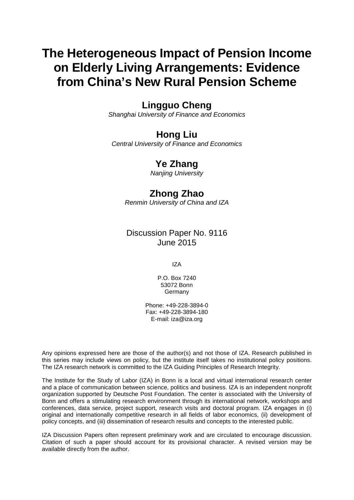# **The Heterogeneous Impact of Pension Income on Elderly Living Arrangements: Evidence from China's New Rural Pension Scheme**

## **Lingguo Cheng**

*Shanghai University of Finance and Economics*

# **Hong Liu**

*Central University of Finance and Economics*

# **Ye Zhang**

*Nanjing University*

# **Zhong Zhao**

*Renmin University of China and IZA*

### Discussion Paper No. 9116 June 2015

IZA

P.O. Box 7240 53072 Bonn **Germany** 

Phone: +49-228-3894-0 Fax: +49-228-3894-180 E-mail: iza@iza.org

Any opinions expressed here are those of the author(s) and not those of IZA. Research published in this series may include views on policy, but the institute itself takes no institutional policy positions. The IZA research network is committed to the IZA Guiding Principles of Research Integrity.

The Institute for the Study of Labor (IZA) in Bonn is a local and virtual international research center and a place of communication between science, politics and business. IZA is an independent nonprofit organization supported by Deutsche Post Foundation. The center is associated with the University of Bonn and offers a stimulating research environment through its international network, workshops and conferences, data service, project support, research visits and doctoral program. IZA engages in (i) original and internationally competitive research in all fields of labor economics, (ii) development of policy concepts, and (iii) dissemination of research results and concepts to the interested public.

<span id="page-1-0"></span>IZA Discussion Papers often represent preliminary work and are circulated to encourage discussion. Citation of such a paper should account for its provisional character. A revised version may be available directly from the author.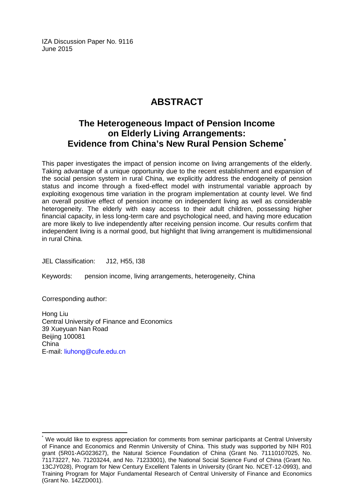IZA Discussion Paper No. 9116 June 2015

# **ABSTRACT**

# **The Heterogeneous Impact of Pension Income on Elderly Living Arrangements: Evidence from China's New Rural Pension Scheme[\\*](#page-1-0)**

This paper investigates the impact of pension income on living arrangements of the elderly. Taking advantage of a unique opportunity due to the recent establishment and expansion of the social pension system in rural China, we explicitly address the endogeneity of pension status and income through a fixed-effect model with instrumental variable approach by exploiting exogenous time variation in the program implementation at county level. We find an overall positive effect of pension income on independent living as well as considerable heterogeneity. The elderly with easy access to their adult children, possessing higher financial capacity, in less long-term care and psychological need, and having more education are more likely to live independently after receiving pension income. Our results confirm that independent living is a normal good, but highlight that living arrangement is multidimensional in rural China.

JEL Classification: J12, H55, I38

Keywords: pension income, living arrangements, heterogeneity, China

Corresponding author:

Hong Liu Central University of Finance and Economics 39 Xueyuan Nan Road Beijing 100081 China E-mail: [liuhong@cufe.edu.cn](mailto:liuhong@cufe.edu.cn)

We would like to express appreciation for comments from seminar participants at Central University of Finance and Economics and Renmin University of China. This study was supported by NIH R01 grant (5R01-AG023627), the Natural Science Foundation of China (Grant No. 71110107025, No. 71173227, No. 71203244, and No. 71233001), the National Social Science Fund of China (Grant No. 13CJY028), Program for New Century Excellent Talents in University (Grant No. NCET-12-0993), and Training Program for Major Fundamental Research of Central University of Finance and Economics (Grant No. 14ZZD001).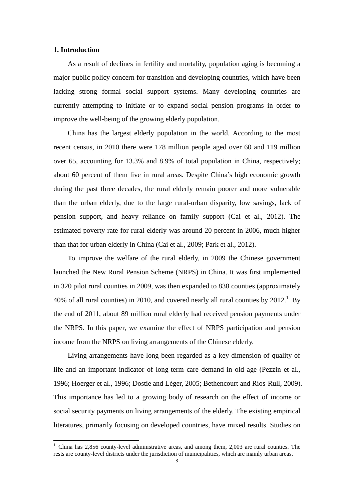#### **1. Introduction**

-

As a result of declines in fertility and mortality, population aging is becoming a major public policy concern for transition and developing countries, which have been lacking strong formal social support systems. Many developing countries are currently attempting to initiate or to expand social pension programs in order to improve the well-being of the growing elderly population.

China has the largest elderly population in the world. According to the most recent census, in 2010 there were 178 million people aged over 60 and 119 million over 65, accounting for 13.3% and 8.9% of total population in China, respectively; about 60 percent of them live in rural areas. Despite China's high economic growth during the past three decades, the rural elderly remain poorer and more vulnerable than the urban elderly, due to the large rural-urban disparity, low savings, lack of pension support, and heavy reliance on family support (Cai et al., 2012). The estimated poverty rate for rural elderly was around 20 percent in 2006, much higher than that for urban elderly in China (Cai et al., 2009; Park et al., 2012).

To improve the welfare of the rural elderly, in 2009 the Chinese government launched the New Rural Pension Scheme (NRPS) in China. It was first implemented in 320 pilot rural counties in 2009, was then expanded to 838 counties (approximately 40% of all rural counties) in 2010, and covered nearly all rural counties by  $2012$ .<sup>1</sup> By the end of 2011, about 89 million rural elderly had received pension payments under the NRPS. In this paper, we examine the effect of NRPS participation and pension income from the NRPS on living arrangements of the Chinese elderly.

Living arrangements have long been regarded as a key dimension of quality of life and an important indicator of long-term care demand in old age (Pezzin et al., 1996; Hoerger et al., 1996; Dostie and Léger, 2005; Bethencourt and R ós-Rull, 2009). This importance has led to a growing body of research on the effect of income or social security payments on living arrangements of the elderly. The existing empirical literatures, primarily focusing on developed countries, have mixed results. Studies on

<sup>&</sup>lt;sup>1</sup> China has 2,856 county-level administrative areas, and among them, 2,003 are rural counties. The rests are county-level districts under the jurisdiction of municipalities, which are mainly urban areas.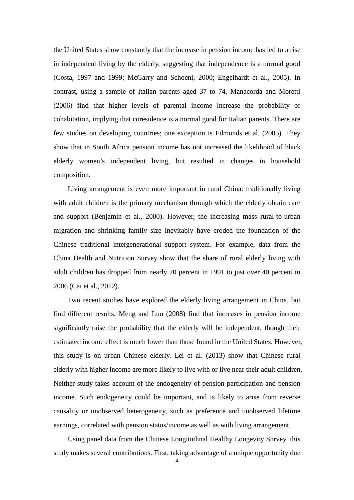the United States show constantly that the increase in pension income has led to a rise in independent living by the elderly, suggesting that independence is a normal good (Costa, 1997 and 1999; McGarry and Schoeni, 2000; Engelhardt et al., 2005). In contrast, using a sample of Italian parents aged 37 to 74, Manacorda and Moretti (2006) find that higher levels of parental income increase the probability of cohabitation, implying that coresidence is a normal good for Italian parents. There are few studies on developing countries; one exception is Edmonds et al. (2005). They show that in South Africa pension income has not increased the likelihood of black elderly women's independent living, but resulted in changes in household composition.

Living arrangement is even more important in rural China: traditionally living with adult children is the primary mechanism through which the elderly obtain care and support (Benjamin et al., 2000). However, the increasing mass rural-to-urban migration and shrinking family size inevitably have eroded the foundation of the Chinese traditional intergenerational support system. For example, data from the China Health and Nutrition Survey show that the share of rural elderly living with adult children has dropped from nearly 70 percent in 1991 to just over 40 percent in 2006 (Cai et al., 2012).

Two recent studies have explored the elderly living arrangement in China, but find different results. Meng and Luo (2008) find that increases in pension income significantly raise the probability that the elderly will be independent, though their estimated income effect is much lower than those found in the United States. However, this study is on urban Chinese elderly. Lei et al. (2013) show that Chinese rural elderly with higher income are more likely to live with or live near their adult children. Neither study takes account of the endogeneity of pension participation and pension income. Such endogeneity could be important, and is likely to arise from reverse causality or unobserved heterogeneity, such as preference and unobserved lifetime earnings, correlated with pension status/income as well as with living arrangement.

Using panel data from the Chinese Longitudinal Healthy Longevity Survey, this study makes several contributions. First, taking advantage of a unique opportunity due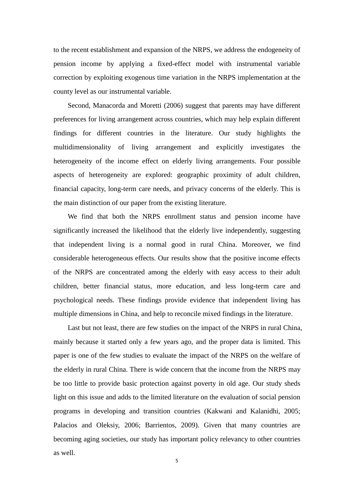to the recent establishment and expansion of the NRPS, we address the endogeneity of pension income by applying a fixed-effect model with instrumental variable correction by exploiting exogenous time variation in the NRPS implementation at the county level as our instrumental variable.

Second, Manacorda and Moretti (2006) suggest that parents may have different preferences for living arrangement across countries, which may help explain different findings for different countries in the literature. Our study highlights the multidimensionality of living arrangement and explicitly investigates the heterogeneity of the income effect on elderly living arrangements. Four possible aspects of heterogeneity are explored: geographic proximity of adult children, financial capacity, long-term care needs, and privacy concerns of the elderly. This is the main distinction of our paper from the existing literature.

We find that both the NRPS enrollment status and pension income have significantly increased the likelihood that the elderly live independently, suggesting that independent living is a normal good in rural China. Moreover, we find considerable heterogeneous effects. Our results show that the positive income effects of the NRPS are concentrated among the elderly with easy access to their adult children, better financial status, more education, and less long-term care and psychological needs. These findings provide evidence that independent living has multiple dimensions in China, and help to reconcile mixed findings in the literature.

Last but not least, there are few studies on the impact of the NRPS in rural China, mainly because it started only a few years ago, and the proper data is limited. This paper is one of the few studies to evaluate the impact of the NRPS on the welfare of the elderly in rural China. There is wide concern that the income from the NRPS may be too little to provide basic protection against poverty in old age. Our study sheds light on this issue and adds to the limited literature on the evaluation of social pension programs in developing and transition countries (Kakwani and Kalanidhi, 2005; Palacios and Oleksiy, 2006; Barrientos, 2009). Given that many countries are becoming aging societies, our study has important policy relevancy to other countries as well.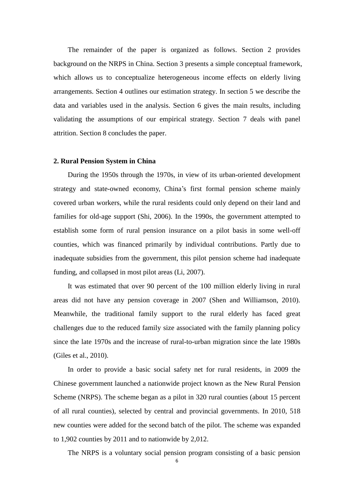The remainder of the paper is organized as follows. Section 2 provides background on the NRPS in China. Section 3 presents a simple conceptual framework, which allows us to conceptualize heterogeneous income effects on elderly living arrangements. Section 4 outlines our estimation strategy. In section 5 we describe the data and variables used in the analysis. Section 6 gives the main results, including validating the assumptions of our empirical strategy. Section 7 deals with panel attrition. Section 8 concludes the paper.

#### **2. Rural Pension System in China**

During the 1950s through the 1970s, in view of its urban-oriented development strategy and state-owned economy, China's first formal pension scheme mainly covered urban workers, while the rural residents could only depend on their land and families for old-age support (Shi, 2006). In the 1990s, the government attempted to establish some form of rural pension insurance on a pilot basis in some well-off counties, which was financed primarily by individual contributions. Partly due to inadequate subsidies from the government, this pilot pension scheme had inadequate funding, and collapsed in most pilot areas (Li, 2007).

It was estimated that over 90 percent of the 100 million elderly living in rural areas did not have any pension coverage in 2007 (Shen and Williamson, 2010). Meanwhile, the traditional family support to the rural elderly has faced great challenges due to the reduced family size associated with the family planning policy since the late 1970s and the increase of rural-to-urban migration since the late 1980s (Giles et al., 2010).

In order to provide a basic social safety net for rural residents, in 2009 the Chinese government launched a nationwide project known as the New Rural Pension Scheme (NRPS). The scheme began as a pilot in 320 rural counties (about 15 percent of all rural counties), selected by central and provincial governments. In 2010, 518 new counties were added for the second batch of the pilot. The scheme was expanded to 1,902 counties by 2011 and to nationwide by 2,012.

The NRPS is a voluntary social pension program consisting of a basic pension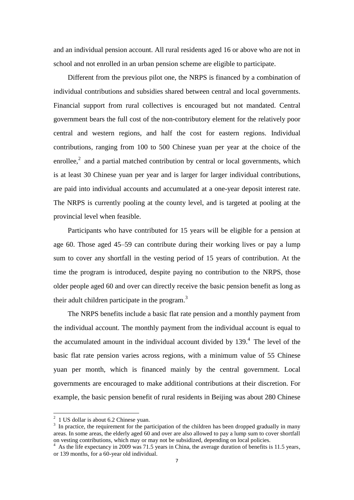and an individual pension account. All rural residents aged 16 or above who are not in school and not enrolled in an urban pension scheme are eligible to participate.

Different from the previous pilot one, the NRPS is financed by a combination of individual contributions and subsidies shared between central and local governments. Financial support from rural collectives is encouraged but not mandated. Central government bears the full cost of the non-contributory element for the relatively poor central and western regions, and half the cost for eastern regions. Individual contributions, ranging from 100 to 500 Chinese yuan per year at the choice of the enrollee, $<sup>2</sup>$  and a partial matched contribution by central or local governments, which</sup> is at least 30 Chinese yuan per year and is larger for larger individual contributions, are paid into individual accounts and accumulated at a one-year deposit interest rate. The NRPS is currently pooling at the county level, and is targeted at pooling at the provincial level when feasible.

Participants who have contributed for 15 years will be eligible for a pension at age 60. Those aged 45–59 can contribute during their working lives or pay a lump sum to cover any shortfall in the vesting period of 15 years of contribution. At the time the program is introduced, despite paying no contribution to the NRPS, those older people aged 60 and over can directly receive the basic pension benefit as long as their adult children participate in the program. $3$ 

The NRPS benefits include a basic flat rate pension and a monthly payment from the individual account. The monthly payment from the individual account is equal to the accumulated amount in the individual account divided by  $139<sup>4</sup>$ . The level of the basic flat rate pension varies across regions, with a minimum value of 55 Chinese yuan per month, which is financed mainly by the central government. Local governments are encouraged to make additional contributions at their discretion. For example, the basic pension benefit of rural residents in Beijing was about 280 Chinese

 2 1 US dollar is about 6.2 Chinese yuan.

<sup>&</sup>lt;sup>3</sup> In practice, the requirement for the participation of the children has been dropped gradually in many areas. In some areas, the elderly aged 60 and over are also allowed to pay a lump sum to cover shortfall on vesting contributions, which may or may not be subsidized, depending on local policies.

<sup>&</sup>lt;sup>4</sup> As the life expectancy in 2009 was 71.5 years in China, the average duration of benefits is 11.5 years, or 139 months, for a 60-year old individual.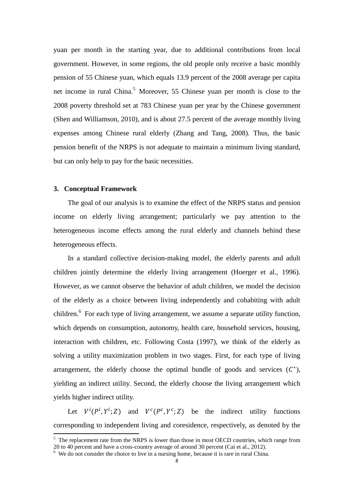yuan per month in the starting year, due to additional contributions from local government. However, in some regions, the old people only receive a basic monthly pension of 55 Chinese yuan, which equals 13.9 percent of the 2008 average per capita net income in rural China.<sup>5</sup> Moreover, 55 Chinese yuan per month is close to the 2008 poverty threshold set at 783 Chinese yuan per year by the Chinese government (Shen and Williamson, 2010), and is about 27.5 percent of the average monthly living expenses among Chinese rural elderly (Zhang and Tang, 2008). Thus, the basic pension benefit of the NRPS is not adequate to maintain a minimum living standard, but can only help to pay for the basic necessities.

#### **3. Conceptual Framework**

-

The goal of our analysis is to examine the effect of the NRPS status and pension income on elderly living arrangement; particularly we pay attention to the heterogeneous income effects among the rural elderly and channels behind these heterogeneous effects.

In a standard collective decision-making model, the elderly parents and adult children jointly determine the elderly living arrangement (Hoerger et al., 1996). However, as we cannot observe the behavior of adult children, we model the decision of the elderly as a choice between living independently and cohabiting with adult children. $6$  For each type of living arrangement, we assume a separate utility function, which depends on consumption, autonomy, health care, household services, housing, interaction with children, etc. Following Costa (1997), we think of the elderly as solving a utility maximization problem in two stages. First, for each type of living arrangement, the elderly choose the optimal bundle of goods and services  $(C^*)$ , yielding an indirect utility. Second, the elderly choose the living arrangement which yields higher indirect utility.

Let  $V^i(P^i, Y^i; Z)$  and  $V^c(P^c, Y^c; Z)$  be the indirect utility functions corresponding to independent living and coresidence, respectively, as denoted by the

 $<sup>5</sup>$  The replacement rate from the NRPS is lower than those in most OECD countries, which range from</sup> 20 to 40 percent and have a cross-country average of around 30 percent (Cai et al., 2012).

 $\frac{6}{6}$  We do not consider the choice to live in a nursing home, because it is rare in rural China.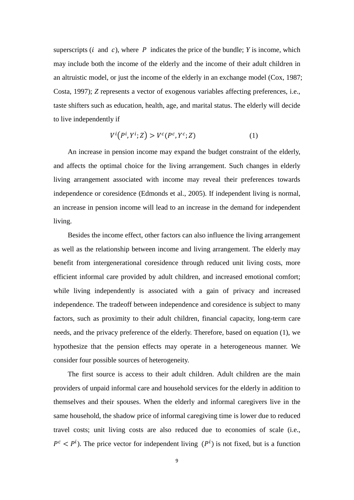superscripts ( $i$  and  $c$ ), where  $P$  indicates the price of the bundle;  $Y$  is income, which may include both the income of the elderly and the income of their adult children in an altruistic model, or just the income of the elderly in an exchange model (Cox, 1987; Costa, 1997); *Z* represents a vector of exogenous variables affecting preferences, i.e., taste shifters such as education, health, age, and marital status. The elderly will decide to live independently if

$$
V^{i}(P^{i},Y^{i};Z) > V^{c}(P^{c},Y^{c};Z)
$$
 (1)

An increase in pension income may expand the budget constraint of the elderly, and affects the optimal choice for the living arrangement. Such changes in elderly living arrangement associated with income may reveal their preferences towards independence or coresidence (Edmonds et al., 2005). If independent living is normal, an increase in pension income will lead to an increase in the demand for independent living.

Besides the income effect, other factors can also influence the living arrangement as well as the relationship between income and living arrangement. The elderly may benefit from intergenerational coresidence through reduced unit living costs, more efficient informal care provided by adult children, and increased emotional comfort; while living independently is associated with a gain of privacy and increased independence. The tradeoff between independence and coresidence is subject to many factors, such as proximity to their adult children, financial capacity, long-term care needs, and the privacy preference of the elderly. Therefore, based on equation (1), we hypothesize that the pension effects may operate in a heterogeneous manner. We consider four possible sources of heterogeneity.

The first source is access to their adult children. Adult children are the main providers of unpaid informal care and household services for the elderly in addition to themselves and their spouses. When the elderly and informal caregivers live in the same household, the shadow price of informal caregiving time is lower due to reduced travel costs; unit living costs are also reduced due to economies of scale (i.e.,  $P^{c} < P^{i}$ ). The price vector for independent living  $(P^{i})$  is not fixed, but is a function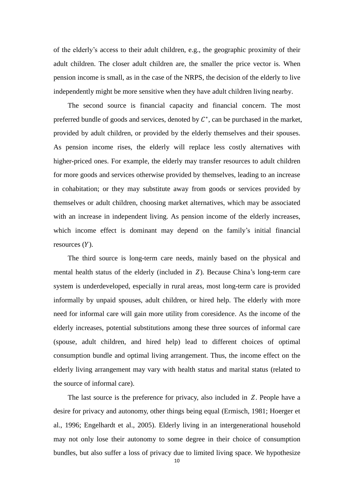of the elderly's access to their adult children, e.g., the geographic proximity of their adult children. The closer adult children are, the smaller the price vector is. When pension income is small, as in the case of the NRPS, the decision of the elderly to live independently might be more sensitive when they have adult children living nearby.

The second source is financial capacity and financial concern. The most preferred bundle of goods and services, denoted by  $C^*$ , can be purchased in the market, provided by adult children, or provided by the elderly themselves and their spouses. As pension income rises, the elderly will replace less costly alternatives with higher-priced ones. For example, the elderly may transfer resources to adult children for more goods and services otherwise provided by themselves, leading to an increase in cohabitation; or they may substitute away from goods or services provided by themselves or adult children, choosing market alternatives, which may be associated with an increase in independent living. As pension income of the elderly increases, which income effect is dominant may depend on the family's initial financial resources  $(Y)$ .

The third source is long-term care needs, mainly based on the physical and mental health status of the elderly (included in  $Z$ ). Because China's long-term care system is underdeveloped, especially in rural areas, most long-term care is provided informally by unpaid spouses, adult children, or hired help. The elderly with more need for informal care will gain more utility from coresidence. As the income of the elderly increases, potential substitutions among these three sources of informal care (spouse, adult children, and hired help) lead to different choices of optimal consumption bundle and optimal living arrangement. Thus, the income effect on the elderly living arrangement may vary with health status and marital status (related to the source of informal care).

The last source is the preference for privacy, also included in  $Z$ . People have a desire for privacy and autonomy, other things being equal (Ermisch, 1981; Hoerger et al., 1996; Engelhardt et al., 2005). Elderly living in an intergenerational household may not only lose their autonomy to some degree in their choice of consumption bundles, but also suffer a loss of privacy due to limited living space. We hypothesize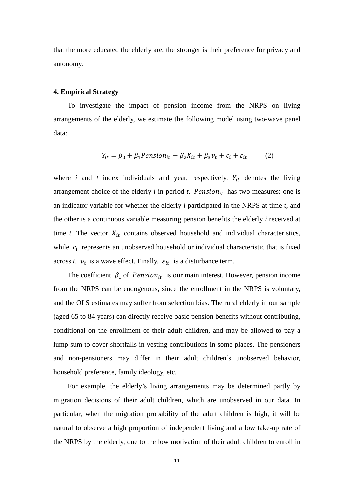that the more educated the elderly are, the stronger is their preference for privacy and autonomy.

#### **4. Empirical Strategy**

To investigate the impact of pension income from the NRPS on living arrangements of the elderly, we estimate the following model using two-wave panel data:

$$
Y_{it} = \beta_0 + \beta_1 \text{Pension}_{it} + \beta_2 X_{it} + \beta_3 v_t + c_i + \varepsilon_{it} \tag{2}
$$

where  $i$  and  $t$  index individuals and year, respectively.  $Y_{it}$  denotes the living arrangement choice of the elderly  $i$  in period  $t$ . Pension<sub>it</sub> has two measures: one is an indicator variable for whether the elderly *i* participated in the NRPS at time *t*, and the other is a continuous variable measuring pension benefits the elderly *i* received at time *t*. The vector  $X_{it}$  contains observed household and individual characteristics, while  $c_i$  represents an unobserved household or individual characteristic that is fixed across *t*.  $v_t$  is a wave effect. Finally,  $\varepsilon_{it}$  is a disturbance term.

The coefficient  $\beta_1$  of *Pension*<sub>it</sub> is our main interest. However, pension income from the NRPS can be endogenous, since the enrollment in the NRPS is voluntary, and the OLS estimates may suffer from selection bias. The rural elderly in our sample (aged 65 to 84 years) can directly receive basic pension benefits without contributing, conditional on the enrollment of their adult children, and may be allowed to pay a lump sum to cover shortfalls in vesting contributions in some places. The pensioners and non-pensioners may differ in their adult children's unobserved behavior, household preference, family ideology, etc.

For example, the elderly's living arrangements may be determined partly by migration decisions of their adult children, which are unobserved in our data. In particular, when the migration probability of the adult children is high, it will be natural to observe a high proportion of independent living and a low take-up rate of the NRPS by the elderly, due to the low motivation of their adult children to enroll in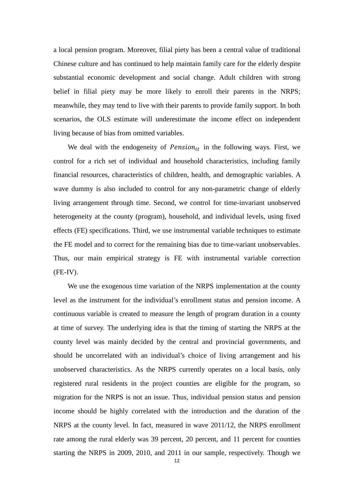a local pension program. Moreover, filial piety has been a central value of traditional Chinese culture and has continued to help maintain family care for the elderly despite substantial economic development and social change. Adult children with strong belief in filial piety may be more likely to enroll their parents in the NRPS; meanwhile, they may tend to live with their parents to provide family support. In both scenarios, the OLS estimate will underestimate the income effect on independent living because of bias from omitted variables.

We deal with the endogeneity of  $Pension_{it}$  in the following ways. First, we control for a rich set of individual and household characteristics, including family financial resources, characteristics of children, health, and demographic variables. A wave dummy is also included to control for any non-parametric change of elderly living arrangement through time. Second, we control for time-invariant unobserved heterogeneity at the county (program), household, and individual levels, using fixed effects (FE) specifications. Third, we use instrumental variable techniques to estimate the FE model and to correct for the remaining bias due to time-variant unobservables. Thus, our main empirical strategy is FE with instrumental variable correction (FE-IV).

We use the exogenous time variation of the NRPS implementation at the county level as the instrument for the individual's enrollment status and pension income. A continuous variable is created to measure the length of program duration in a county at time of survey. The underlying idea is that the timing of starting the NRPS at the county level was mainly decided by the central and provincial governments, and should be uncorrelated with an individual's choice of living arrangement and his unobserved characteristics. As the NRPS currently operates on a local basis, only registered rural residents in the project counties are eligible for the program, so migration for the NRPS is not an issue. Thus, individual pension status and pension income should be highly correlated with the introduction and the duration of the NRPS at the county level. In fact, measured in wave 2011/12, the NRPS enrollment rate among the rural elderly was 39 percent, 20 percent, and 11 percent for counties starting the NRPS in 2009, 2010, and 2011 in our sample, respectively. Though we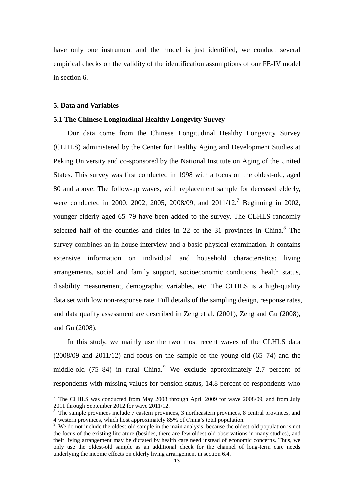have only one instrument and the model is just identified, we conduct several empirical checks on the validity of the identification assumptions of our FE-IV model in section 6.

#### **5. Data and Variables**

-

#### **5.1 The Chinese Longitudinal Healthy Longevity Survey**

Our data come from the Chinese Longitudinal Healthy Longevity Survey (CLHLS) administered by the Center for Healthy Aging and Development Studies at Peking University and co-sponsored by the National Institute on Aging of the United States. This survey was first conducted in 1998 with a focus on the oldest-old, aged 80 and above. The follow-up waves, with replacement sample for deceased elderly, were conducted in 2000, 2002, 2005, 2008/09, and 2011/12.<sup>7</sup> Beginning in 2002, younger elderly aged 65–79 have been added to the survey. The CLHLS randomly selected half of the counties and cities in 22 of the 31 provinces in China. $8$  The survey combines an in-house interview and a basic physical examination. It contains extensive information on individual and household characteristics: living arrangements, social and family support, socioeconomic conditions, health status, disability measurement, demographic variables, etc. The CLHLS is a high-quality data set with low non-response rate. Full details of the sampling design, response rates, and data quality assessment are described in Zeng et al. (2001), Zeng and Gu (2008), and Gu (2008).

In this study, we mainly use the two most recent waves of the CLHLS data (2008/09 and 2011/12) and focus on the sample of the young-old (65–74) and the middle-old (75–84) in rural China.<sup>9</sup> We exclude approximately 2.7 percent of respondents with missing values for pension status, 14.8 percent of respondents who

 $7$  The CLHLS was conducted from May 2008 through April 2009 for wave 2008/09, and from July 2011 through September 2012 for wave 2011/12.

<sup>&</sup>lt;sup>8</sup> The sample provinces include 7 eastern provinces, 3 northeastern provinces, 8 central provinces, and 4 western provinces, which host approximately 85% of China's total population.

<sup>&</sup>lt;sup>9</sup> We do not include the oldest-old sample in the main analysis, because the oldest-old population is not the focus of the existing literature (besides, there are few oldest-old observations in many studies), and their living arrangement may be dictated by health care need instead of economic concerns. Thus, we only use the oldest-old sample as an additional check for the channel of long-term care needs underlying the income effects on elderly living arrangement in section 6.4.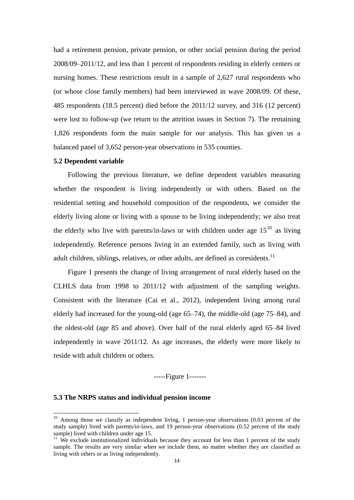had a retirement pension, private pension, or other social pension during the period 2008/09–2011/12, and less than 1 percent of respondents residing in elderly centers or nursing homes. These restrictions result in a sample of 2,627 rural respondents who (or whose close family members) had been interviewed in wave 2008/09. Of these, 485 respondents (18.5 percent) died before the 2011/12 survey, and 316 (12 percent) were lost to follow-up (we return to the attrition issues in Section 7). The remaining 1,826 respondents form the main sample for our analysis. This has given us a balanced panel of 3,652 person-year observations in 535 counties.

#### **5.2 Dependent variable**

Following the previous literature, we define dependent variables measuring whether the respondent is living independently or with others. Based on the residential setting and household composition of the respondents, we consider the elderly living alone or living with a spouse to be living independently; we also treat the elderly who live with parents/in-laws or with children under age  $15^{10}$  as living independently. Reference persons living in an extended family, such as living with adult children, siblings, relatives, or other adults, are defined as coresidents.<sup>11</sup>

Figure 1 presents the change of living arrangement of rural elderly based on the CLHLS data from 1998 to 2011/12 with adjustment of the sampling weights. Consistent with the literature (Cai et al., 2012), independent living among rural elderly had increased for the young-old (age 65–74), the middle-old (age 75–84), and the oldest-old (age 85 and above). Over half of the rural elderly aged 65–84 lived independently in wave 2011/12. As age increases, the elderly were more likely to reside with adult children or others.

-----Figure 1-------

#### **5.3 The NRPS status and individual pension income**

-

 $10$  Among those we classify as independent living, 1 person-year observations (0.03 percent of the study sample) lived with parents/in-laws, and 19 person-year observations (0.52 percent of the study sample) lived with children under age 15.

<sup>&</sup>lt;sup>11</sup> We exclude institutionalized individuals because they account for less than 1 percent of the study sample. The results are very similar when we include them, no matter whether they are classified as living with others or as living independently.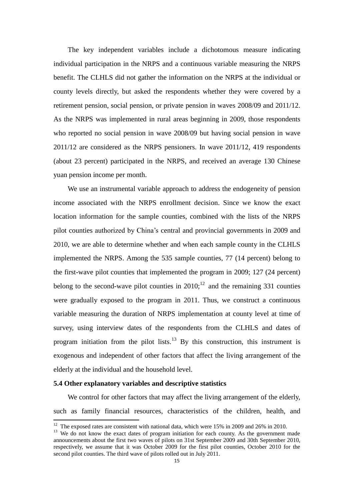The key independent variables include a dichotomous measure indicating individual participation in the NRPS and a continuous variable measuring the NRPS benefit. The CLHLS did not gather the information on the NRPS at the individual or county levels directly, but asked the respondents whether they were covered by a retirement pension, social pension, or private pension in waves 2008/09 and 2011/12. As the NRPS was implemented in rural areas beginning in 2009, those respondents who reported no social pension in wave 2008/09 but having social pension in wave 2011/12 are considered as the NRPS pensioners. In wave 2011/12, 419 respondents (about 23 percent) participated in the NRPS, and received an average 130 Chinese yuan pension income per month.

We use an instrumental variable approach to address the endogeneity of pension income associated with the NRPS enrollment decision. Since we know the exact location information for the sample counties, combined with the lists of the NRPS pilot counties authorized by China's central and provincial governments in 2009 and 2010, we are able to determine whether and when each sample county in the CLHLS implemented the NRPS. Among the 535 sample counties, 77 (14 percent) belong to the first-wave pilot counties that implemented the program in 2009; 127 (24 percent) belong to the second-wave pilot counties in  $2010$ ;<sup>12</sup> and the remaining 331 counties were gradually exposed to the program in 2011. Thus, we construct a continuous variable measuring the duration of NRPS implementation at county level at time of survey, using interview dates of the respondents from the CLHLS and dates of program initiation from the pilot lists.<sup>13</sup> By this construction, this instrument is exogenous and independent of other factors that affect the living arrangement of the elderly at the individual and the household level.

#### **5.4 Other explanatory variables and descriptive statistics**

-

We control for other factors that may affect the living arrangement of the elderly, such as family financial resources, characteristics of the children, health, and

 $12$  The exposed rates are consistent with national data, which were 15% in 2009 and 26% in 2010.

 $13$  We do not know the exact dates of program initiation for each county. As the government made announcements about the first two waves of pilots on 31st September 2009 and 30th September 2010, respectively, we assume that it was October 2009 for the first pilot counties, October 2010 for the second pilot counties. The third wave of pilots rolled out in July 2011.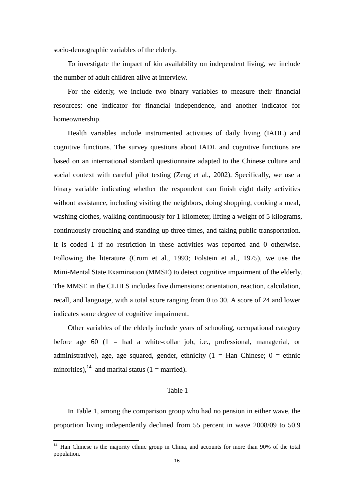socio-demographic variables of the elderly.

To investigate the impact of kin availability on independent living, we include the number of adult children alive at interview.

For the elderly, we include two binary variables to measure their financial resources: one indicator for financial independence, and another indicator for homeownership.

Health variables include instrumented activities of daily living (IADL) and cognitive functions. The survey questions about IADL and cognitive functions are based on an international standard questionnaire adapted to the Chinese culture and social context with careful pilot testing (Zeng et al., 2002). Specifically, we use a binary variable indicating whether the respondent can finish eight daily activities without assistance, including visiting the neighbors, doing shopping, cooking a meal, washing clothes, walking continuously for 1 kilometer, lifting a weight of 5 kilograms, continuously crouching and standing up three times, and taking public transportation. It is coded 1 if no restriction in these activities was reported and 0 otherwise. Following the literature (Crum et al., 1993; Folstein et al., 1975), we use the Mini-Mental State Examination (MMSE) to detect cognitive impairment of the elderly. The MMSE in the CLHLS includes five dimensions: orientation, reaction, calculation, recall, and language, with a total score ranging from 0 to 30. A score of 24 and lower indicates some degree of cognitive impairment.

Other variables of the elderly include years of schooling, occupational category before age 60  $(1 = had a white-collar job, i.e., professional, management, or$ administrative), age, age squared, gender, ethnicity ( $1 =$  Han Chinese;  $0 =$  ethnic minorities),  $^{14}$  and marital status (1 = married).

-----Table 1-------

In Table 1, among the comparison group who had no pension in either wave, the proportion living independently declined from 55 percent in wave 2008/09 to 50.9

-

<sup>&</sup>lt;sup>14</sup> Han Chinese is the majority ethnic group in China, and accounts for more than 90% of the total population.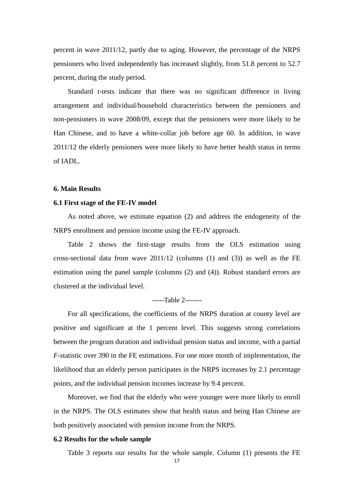percent in wave 2011/12, partly due to aging. However, the percentage of the NRPS pensioners who lived independently has increased slightly, from 51.8 percent to 52.7 percent, during the study period.

Standard *t*-tests indicate that there was no significant difference in living arrangement and individual/household characteristics between the pensioners and non-pensioners in wave 2008/09, except that the pensioners were more likely to be Han Chinese, and to have a white-collar job before age 60. In addition, in wave 2011/12 the elderly pensioners were more likely to have better health status in terms of IADL.

#### **6. Main Results**

#### **6.1 First stage of the FE-IV model**

As noted above, we estimate equation (2) and address the endogeneity of the NRPS enrollment and pension income using the FE-IV approach.

Table 2 shows the first-stage results from the OLS estimation using cross-sectional data from wave 2011/12 (columns (1) and (3)) as well as the FE estimation using the panel sample (columns (2) and (4)). Robust standard errors are clustered at the individual level.

#### -----Table 2-------

For all specifications, the coefficients of the NRPS duration at county level are positive and significant at the 1 percent level. This suggests strong correlations between the program duration and individual pension status and income, with a partial *F*-statistic over 390 in the FE estimations. For one more month of implementation, the likelihood that an elderly person participates in the NRPS increases by 2.1 percentage points, and the individual pension incomes increase by 9.4 percent.

Moreover, we find that the elderly who were younger were more likely to enroll in the NRPS. The OLS estimates show that health status and being Han Chinese are both positively associated with pension income from the NRPS.

#### **6.2 Results for the whole sample**

Table 3 reports our results for the whole sample. Column (1) presents the FE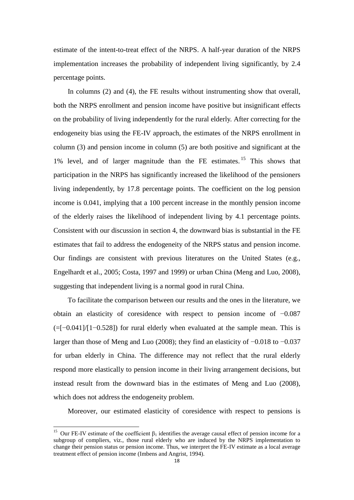estimate of the intent-to-treat effect of the NRPS. A half-year duration of the NRPS implementation increases the probability of independent living significantly, by 2.4 percentage points.

In columns (2) and (4), the FE results without instrumenting show that overall, both the NRPS enrollment and pension income have positive but insignificant effects on the probability of living independently for the rural elderly. After correcting for the endogeneity bias using the FE-IV approach, the estimates of the NRPS enrollment in column (3) and pension income in column (5) are both positive and significant at the 1% level, and of larger magnitude than the FE estimates. <sup>15</sup> This shows that participation in the NRPS has significantly increased the likelihood of the pensioners living independently, by 17.8 percentage points. The coefficient on the log pension income is 0.041, implying that a 100 percent increase in the monthly pension income of the elderly raises the likelihood of independent living by 4.1 percentage points. Consistent with our discussion in section 4, the downward bias is substantial in the FE estimates that fail to address the endogeneity of the NRPS status and pension income. Our findings are consistent with previous literatures on the United States (e.g., Engelhardt et al., 2005; Costa, 1997 and 1999) or urban China (Meng and Luo, 2008), suggesting that independent living is a normal good in rural China.

To facilitate the comparison between our results and the ones in the literature, we obtain an elasticity of coresidence with respect to pension income of −0.087  $(=[-0.041]/[1-0.528])$  for rural elderly when evaluated at the sample mean. This is larger than those of Meng and Luo (2008); they find an elasticity of −0.018 to −0.037 for urban elderly in China. The difference may not reflect that the rural elderly respond more elastically to pension income in their living arrangement decisions, but instead result from the downward bias in the estimates of Meng and Luo (2008), which does not address the endogeneity problem.

Moreover, our estimated elasticity of coresidence with respect to pensions is

-

<sup>&</sup>lt;sup>15</sup> Our FE-IV estimate of the coefficient  $\beta_1$  identifies the average causal effect of pension income for a subgroup of compliers, viz., those rural elderly who are induced by the NRPS implementation to change their pension status or pension income. Thus, we interpret the FE-IV estimate as a local average treatment effect of pension income (Imbens and Angrist, 1994).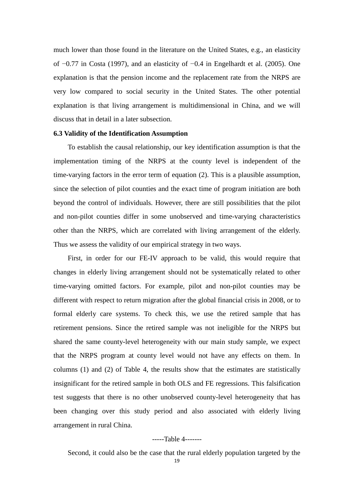much lower than those found in the literature on the United States, e.g., an elasticity of −0.77 in Costa (1997), and an elasticity of −0.4 in Engelhardt et al. (2005). One explanation is that the pension income and the replacement rate from the NRPS are very low compared to social security in the United States. The other potential explanation is that living arrangement is multidimensional in China, and we will discuss that in detail in a later subsection.

#### **6.3 Validity of the Identification Assumption**

To establish the causal relationship, our key identification assumption is that the implementation timing of the NRPS at the county level is independent of the time-varying factors in the error term of equation (2). This is a plausible assumption, since the selection of pilot counties and the exact time of program initiation are both beyond the control of individuals. However, there are still possibilities that the pilot and non-pilot counties differ in some unobserved and time-varying characteristics other than the NRPS, which are correlated with living arrangement of the elderly. Thus we assess the validity of our empirical strategy in two ways.

First, in order for our FE-IV approach to be valid, this would require that changes in elderly living arrangement should not be systematically related to other time-varying omitted factors. For example, pilot and non-pilot counties may be different with respect to return migration after the global financial crisis in 2008, or to formal elderly care systems. To check this, we use the retired sample that has retirement pensions. Since the retired sample was not ineligible for the NRPS but shared the same county-level heterogeneity with our main study sample, we expect that the NRPS program at county level would not have any effects on them. In columns (1) and (2) of Table 4, the results show that the estimates are statistically insignificant for the retired sample in both OLS and FE regressions. This falsification test suggests that there is no other unobserved county-level heterogeneity that has been changing over this study period and also associated with elderly living arrangement in rural China.

#### -----Table 4-------

Second, it could also be the case that the rural elderly population targeted by the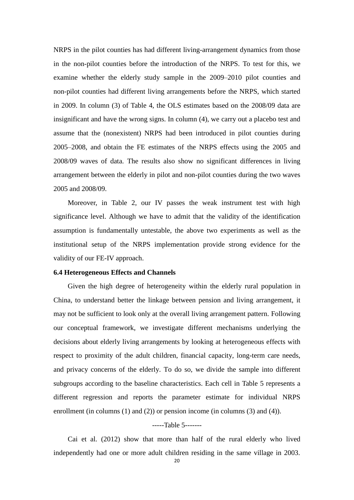NRPS in the pilot counties has had different living-arrangement dynamics from those in the non-pilot counties before the introduction of the NRPS. To test for this, we examine whether the elderly study sample in the 2009–2010 pilot counties and non-pilot counties had different living arrangements before the NRPS, which started in 2009. In column (3) of Table 4, the OLS estimates based on the 2008/09 data are insignificant and have the wrong signs. In column (4), we carry out a placebo test and assume that the (nonexistent) NRPS had been introduced in pilot counties during 2005–2008, and obtain the FE estimates of the NRPS effects using the 2005 and 2008/09 waves of data. The results also show no significant differences in living arrangement between the elderly in pilot and non-pilot counties during the two waves 2005 and 2008/09.

Moreover, in Table 2, our IV passes the weak instrument test with high significance level. Although we have to admit that the validity of the identification assumption is fundamentally untestable, the above two experiments as well as the institutional setup of the NRPS implementation provide strong evidence for the validity of our FE-IV approach.

#### **6.4 Heterogeneous Effects and Channels**

Given the high degree of heterogeneity within the elderly rural population in China, to understand better the linkage between pension and living arrangement, it may not be sufficient to look only at the overall living arrangement pattern. Following our conceptual framework, we investigate different mechanisms underlying the decisions about elderly living arrangements by looking at heterogeneous effects with respect to proximity of the adult children, financial capacity, long-term care needs, and privacy concerns of the elderly. To do so, we divide the sample into different subgroups according to the baseline characteristics. Each cell in Table 5 represents a different regression and reports the parameter estimate for individual NRPS enrollment (in columns (1) and (2)) or pension income (in columns (3) and (4)).

#### -----Table 5-------

Cai et al. (2012) show that more than half of the rural elderly who lived independently had one or more adult children residing in the same village in 2003.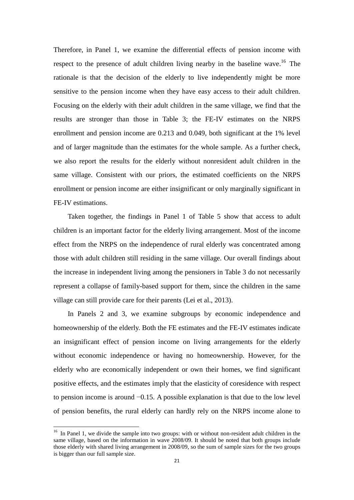Therefore, in Panel 1, we examine the differential effects of pension income with respect to the presence of adult children living nearby in the baseline wave.<sup>16</sup> The rationale is that the decision of the elderly to live independently might be more sensitive to the pension income when they have easy access to their adult children. Focusing on the elderly with their adult children in the same village, we find that the results are stronger than those in Table 3; the FE-IV estimates on the NRPS enrollment and pension income are 0.213 and 0.049, both significant at the 1% level and of larger magnitude than the estimates for the whole sample. As a further check, we also report the results for the elderly without nonresident adult children in the same village. Consistent with our priors, the estimated coefficients on the NRPS enrollment or pension income are either insignificant or only marginally significant in FE-IV estimations.

Taken together, the findings in Panel 1 of Table 5 show that access to adult children is an important factor for the elderly living arrangement. Most of the income effect from the NRPS on the independence of rural elderly was concentrated among those with adult children still residing in the same village. Our overall findings about the increase in independent living among the pensioners in Table 3 do not necessarily represent a collapse of family-based support for them, since the children in the same village can still provide care for their parents (Lei et al., 2013).

In Panels 2 and 3, we examine subgroups by economic independence and homeownership of the elderly. Both the FE estimates and the FE-IV estimates indicate an insignificant effect of pension income on living arrangements for the elderly without economic independence or having no homeownership. However, for the elderly who are economically independent or own their homes, we find significant positive effects, and the estimates imply that the elasticity of coresidence with respect to pension income is around −0.15. A possible explanation is that due to the low level of pension benefits, the rural elderly can hardly rely on the NRPS income alone to

-

 $16$  In Panel 1, we divide the sample into two groups: with or without non-resident adult children in the same village, based on the information in wave 2008/09. It should be noted that both groups include those elderly with shared living arrangement in 2008/09, so the sum of sample sizes for the two groups is bigger than our full sample size.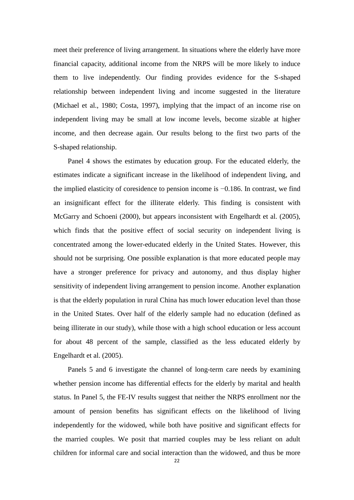meet their preference of living arrangement. In situations where the elderly have more financial capacity, additional income from the NRPS will be more likely to induce them to live independently. Our finding provides evidence for the S-shaped relationship between independent living and income suggested in the literature (Michael et al., 1980; Costa, 1997), implying that the impact of an income rise on independent living may be small at low income levels, become sizable at higher income, and then decrease again. Our results belong to the first two parts of the S-shaped relationship.

Panel 4 shows the estimates by education group. For the educated elderly, the estimates indicate a significant increase in the likelihood of independent living, and the implied elasticity of coresidence to pension income is −0.186. In contrast, we find an insignificant effect for the illiterate elderly. This finding is consistent with McGarry and Schoeni (2000), but appears inconsistent with Engelhardt et al. (2005), which finds that the positive effect of social security on independent living is concentrated among the lower-educated elderly in the United States. However, this should not be surprising. One possible explanation is that more educated people may have a stronger preference for privacy and autonomy, and thus display higher sensitivity of independent living arrangement to pension income. Another explanation is that the elderly population in rural China has much lower education level than those in the United States. Over half of the elderly sample had no education (defined as being illiterate in our study), while those with a high school education or less account for about 48 percent of the sample, classified as the less educated elderly by Engelhardt et al. (2005).

Panels 5 and 6 investigate the channel of long-term care needs by examining whether pension income has differential effects for the elderly by marital and health status. In Panel 5, the FE-IV results suggest that neither the NRPS enrollment nor the amount of pension benefits has significant effects on the likelihood of living independently for the widowed, while both have positive and significant effects for the married couples. We posit that married couples may be less reliant on adult children for informal care and social interaction than the widowed, and thus be more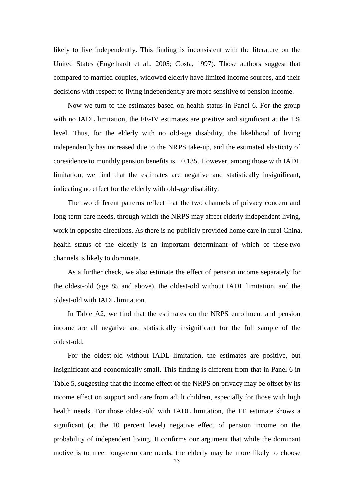likely to live independently. This finding is inconsistent with the literature on the United States (Engelhardt et al., 2005; Costa, 1997). Those authors suggest that compared to married couples, widowed elderly have limited income sources, and their decisions with respect to living independently are more sensitive to pension income.

Now we turn to the estimates based on health status in Panel 6. For the group with no IADL limitation, the FE-IV estimates are positive and significant at the 1% level. Thus, for the elderly with no old-age disability, the likelihood of living independently has increased due to the NRPS take-up, and the estimated elasticity of coresidence to monthly pension benefits is −0.135. However, among those with IADL limitation, we find that the estimates are negative and statistically insignificant, indicating no effect for the elderly with old-age disability.

The two different patterns reflect that the two channels of privacy concern and long-term care needs, through which the NRPS may affect elderly independent living, work in opposite directions. As there is no publicly provided home care in rural China, health status of the elderly is an important determinant of which of these two channels is likely to dominate.

As a further check, we also estimate the effect of pension income separately for the oldest-old (age 85 and above), the oldest-old without IADL limitation, and the oldest-old with IADL limitation.

In Table A2, we find that the estimates on the NRPS enrollment and pension income are all negative and statistically insignificant for the full sample of the oldest-old.

For the oldest-old without IADL limitation, the estimates are positive, but insignificant and economically small. This finding is different from that in Panel 6 in Table 5, suggesting that the income effect of the NRPS on privacy may be offset by its income effect on support and care from adult children, especially for those with high health needs. For those oldest-old with IADL limitation, the FE estimate shows a significant (at the 10 percent level) negative effect of pension income on the probability of independent living. It confirms our argument that while the dominant motive is to meet long-term care needs, the elderly may be more likely to choose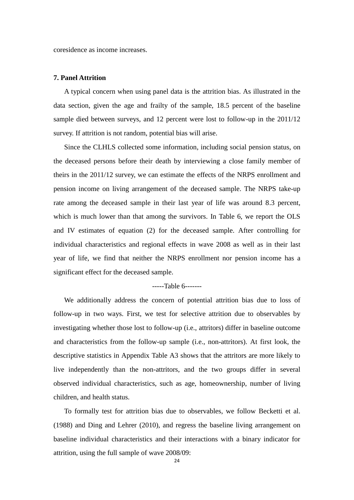coresidence as income increases.

#### **7. Panel Attrition**

A typical concern when using panel data is the attrition bias. As illustrated in the data section, given the age and frailty of the sample, 18.5 percent of the baseline sample died between surveys, and 12 percent were lost to follow-up in the 2011/12 survey. If attrition is not random, potential bias will arise.

Since the CLHLS collected some information, including social pension status, on the deceased persons before their death by interviewing a close family member of theirs in the 2011/12 survey, we can estimate the effects of the NRPS enrollment and pension income on living arrangement of the deceased sample. The NRPS take-up rate among the deceased sample in their last year of life was around 8.3 percent, which is much lower than that among the survivors. In Table 6, we report the OLS and IV estimates of equation (2) for the deceased sample. After controlling for individual characteristics and regional effects in wave 2008 as well as in their last year of life, we find that neither the NRPS enrollment nor pension income has a significant effect for the deceased sample.

#### -----Table 6-------

We additionally address the concern of potential attrition bias due to loss of follow-up in two ways. First, we test for selective attrition due to observables by investigating whether those lost to follow-up (i.e., attritors) differ in baseline outcome and characteristics from the follow-up sample (i.e., non-attritors). At first look, the descriptive statistics in Appendix Table A3 shows that the attritors are more likely to live independently than the non-attritors, and the two groups differ in several observed individual characteristics, such as age, homeownership, number of living children, and health status.

To formally test for attrition bias due to observables, we follow Becketti et al. (1988) and Ding and Lehrer (2010), and regress the baseline living arrangement on baseline individual characteristics and their interactions with a binary indicator for attrition, using the full sample of wave 2008/09: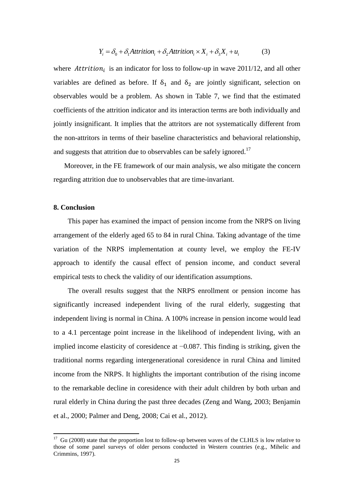$$
Y_i = \delta_0 + \delta_1 \text{Attribute}_i + \delta_2 \text{Attribute}_i \times X_i + \delta_3 X_i + u_i \tag{3}
$$

where Attrition<sub>i</sub> is an indicator for loss to follow-up in wave 2011/12, and all other variables are defined as before. If  $\delta_1$  and  $\delta_2$  are jointly significant, selection on observables would be a problem. As shown in Table 7, we find that the estimated coefficients of the attrition indicator and its interaction terms are both individually and jointly insignificant. It implies that the attritors are not systematically different from the non-attritors in terms of their baseline characteristics and behavioral relationship, and suggests that attrition due to observables can be safely ignored.<sup>17</sup>

Moreover, in the FE framework of our main analysis, we also mitigate the concern regarding attrition due to unobservables that are time-invariant.

#### **8. Conclusion**

-

This paper has examined the impact of pension income from the NRPS on living arrangement of the elderly aged 65 to 84 in rural China. Taking advantage of the time variation of the NRPS implementation at county level, we employ the FE-IV approach to identify the causal effect of pension income, and conduct several empirical tests to check the validity of our identification assumptions.

The overall results suggest that the NRPS enrollment or pension income has significantly increased independent living of the rural elderly, suggesting that independent living is normal in China. A 100% increase in pension income would lead to a 4.1 percentage point increase in the likelihood of independent living, with an implied income elasticity of coresidence at −0.087. This finding is striking, given the traditional norms regarding intergenerational coresidence in rural China and limited income from the NRPS. It highlights the important contribution of the rising income to the remarkable decline in coresidence with their adult children by both urban and rural elderly in China during the past three decades (Zeng and Wang, 2003; Benjamin et al., 2000; Palmer and Deng, 2008; Cai et al., 2012).

 $17$  Gu (2008) state that the proportion lost to follow-up between waves of the CLHLS is low relative to those of some panel surveys of older persons conducted in Western countries (e.g., Mihelic and Crimmins, 1997).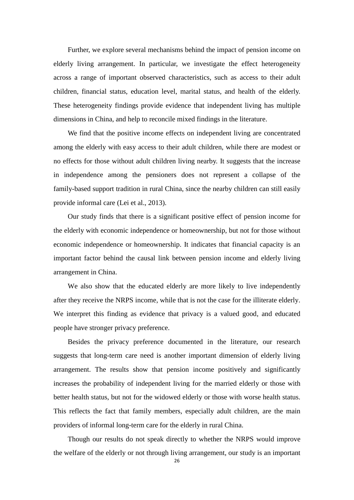Further, we explore several mechanisms behind the impact of pension income on elderly living arrangement. In particular, we investigate the effect heterogeneity across a range of important observed characteristics, such as access to their adult children, financial status, education level, marital status, and health of the elderly. These heterogeneity findings provide evidence that independent living has multiple dimensions in China, and help to reconcile mixed findings in the literature.

We find that the positive income effects on independent living are concentrated among the elderly with easy access to their adult children, while there are modest or no effects for those without adult children living nearby. It suggests that the increase in independence among the pensioners does not represent a collapse of the family-based support tradition in rural China, since the nearby children can still easily provide informal care (Lei et al., 2013).

Our study finds that there is a significant positive effect of pension income for the elderly with economic independence or homeownership, but not for those without economic independence or homeownership. It indicates that financial capacity is an important factor behind the causal link between pension income and elderly living arrangement in China.

We also show that the educated elderly are more likely to live independently after they receive the NRPS income, while that is not the case for the illiterate elderly. We interpret this finding as evidence that privacy is a valued good, and educated people have stronger privacy preference.

Besides the privacy preference documented in the literature, our research suggests that long-term care need is another important dimension of elderly living arrangement. The results show that pension income positively and significantly increases the probability of independent living for the married elderly or those with better health status, but not for the widowed elderly or those with worse health status. This reflects the fact that family members, especially adult children, are the main providers of informal long-term care for the elderly in rural China.

Though our results do not speak directly to whether the NRPS would improve the welfare of the elderly or not through living arrangement, our study is an important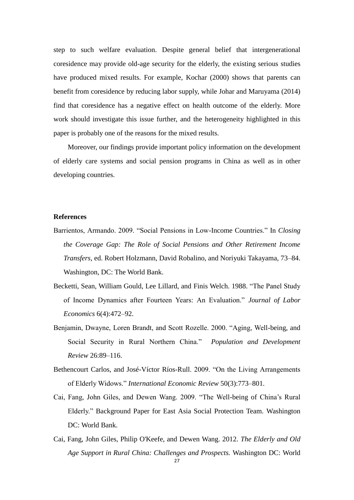step to such welfare evaluation. Despite general belief that intergenerational coresidence may provide old-age security for the elderly, the existing serious studies have produced mixed results. For example, Kochar (2000) shows that parents can benefit from coresidence by reducing labor supply, while Johar and Maruyama (2014) find that coresidence has a negative effect on health outcome of the elderly. More work should investigate this issue further, and the heterogeneity highlighted in this paper is probably one of the reasons for the mixed results.

Moreover, our findings provide important policy information on the development of elderly care systems and social pension programs in China as well as in other developing countries.

#### **References**

- Barrientos, Armando. 2009. "Social Pensions in Low-Income Countries." In *Closing the Coverage Gap: The Role of Social Pensions and Other Retirement Income Transfers*, ed. Robert Holzmann, David Robalino, and Noriyuki Takayama, 73–84. Washington, DC: The World Bank.
- Becketti, Sean, William Gould, Lee Lillard, and Finis Welch. 1988. "The Panel Study of Income Dynamics after Fourteen Years: An Evaluation." *Journal of Labor Economics* 6(4):472–92.
- Benjamin, Dwayne, Loren Brandt, and Scott Rozelle. 2000. "Aging, Well-being, and Social Security in Rural Northern China." *Population and Development Review* 26:89–116.
- Bethencourt Carlos, and José V íctor R ps-Rull. 2009. "On the Living Arrangements of Elderly Widows." *International Economic Review* 50(3):773–801.
- Cai, Fang, John Giles, and Dewen Wang. 2009. "The Well-being of China's Rural Elderly." Background Paper for East Asia Social Protection Team. Washington DC: World Bank.
- Cai, Fang, John Giles, Philip O'Keefe, and Dewen Wang. 2012. *The Elderly and Old Age Support in Rural China: Challenges and Prospects.* Washington DC: World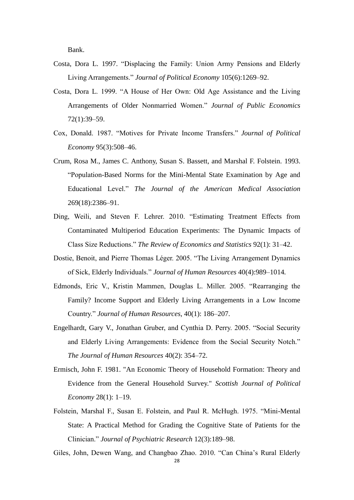Bank.

- Costa, Dora L. 1997. "Displacing the Family: Union Army Pensions and Elderly Living Arrangements." *Journal of Political Economy* 105(6):1269–92.
- Costa, Dora L. 1999. "A House of Her Own: Old Age Assistance and the Living Arrangements of Older Nonmarried Women." *Journal of Public Economics*  72(1):39–59.
- Cox, Donald. 1987. "Motives for Private Income Transfers." *Journal of Political Economy* 95(3):508–46.
- Crum, Rosa M., James C. Anthony, Susan S. Bassett, and Marshal F. Folstein. 1993. "Population-Based Norms for the Mini-Mental State Examination by Age and Educational Level." *The Journal of the American Medical Association*  269(18):2386–91.
- Ding, Weili, and Steven F. Lehrer. 2010. "Estimating Treatment Effects from Contaminated Multiperiod Education Experiments: The Dynamic Impacts of Class Size Reductions." *The Review of Economics and Statistics* 92(1): 31–42.
- Dostie, Benoit, and Pierre Thomas Léger. 2005. "The Living Arrangement Dynamics of Sick, Elderly Individuals." *Journal of Human Resources* 40(4):989–1014*.*
- Edmonds, Eric V., Kristin Mammen, Douglas L. Miller. 2005. "Rearranging the Family? Income Support and Elderly Living Arrangements in a Low Income Country." *Journal of Human Resources*, 40(1): 186–207.
- Engelhardt, Gary V., Jonathan Gruber, and Cynthia D. Perry. 2005. "Social Security and Elderly Living Arrangements: Evidence from the Social Security Notch." *The Journal of Human Resources* 40(2): 354–72.
- Ermisch, John F. 1981. "An Economic Theory of Household Formation: Theory and Evidence from the General Household Survey." *Scottish Journal of Political Economy* 28(1): 1–19.
- Folstein, Marshal F., Susan E. Folstein, and Paul R. McHugh. 1975. "Mini-Mental State: A Practical Method for Grading the Cognitive State of Patients for the Clinician." *Journal of Psychiatric Research* 12(3):189–98.

Giles, John, Dewen Wang, and Changbao Zhao. 2010. "Can China's Rural Elderly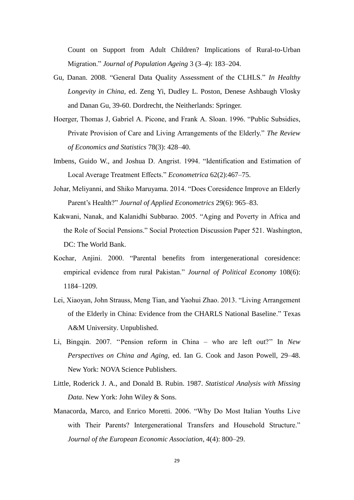Count on Support from Adult Children? Implications of Rural-to-Urban Migration." *Journal of Population Ageing* 3 (3–4): 183–204.

- Gu, Danan. 2008. "General Data Quality Assessment of the CLHLS." *In Healthy Longevity in China,* ed. Zeng Yi, Dudley L. Poston, Denese Ashbaugh Vlosky and Danan Gu, 39-60. Dordrecht, the Neitherlands: Springer.
- Hoerger, Thomas J, Gabriel A. Picone, and Frank A. Sloan. 1996. "Public Subsidies, Private Provision of Care and Living Arrangements of the Elderly." *The Review of Economics and Statistics* 78(3): 428–40.
- Imbens, Guido W., and Joshua D. Angrist. 1994. "Identification and Estimation of Local Average Treatment Effects." *Econometrica* 62(2):467–75.
- Johar, Meliyanni, and Shiko Maruyama. 2014. "Does Coresidence Improve an Elderly Parent's Health?" *Journal of Applied Econometrics* 29(6): 965–83.
- Kakwani, Nanak, and Kalanidhi Subbarao. 2005. "Aging and Poverty in Africa and the Role of Social Pensions." Social Protection Discussion Paper 521. Washington, DC: The World Bank.
- Kochar, Anjini. 2000. "Parental benefits from intergenerational coresidence: empirical evidence from rural Pakistan." *Journal of Political Economy* 108(6): 1184–1209.
- Lei, Xiaoyan, John Strauss, Meng Tian, and Yaohui Zhao. 2013. "Living Arrangement of the Elderly in China: Evidence from the CHARLS National Baseline." Texas A&M University. Unpublished.
- Li, Bingqin. 2007. ''Pension reform in China who are left out?'' In *New Perspectives on China and Aging,* ed. Ian G. Cook and Jason Powell, 29–48. New York: NOVA Science Publishers.
- Little, Roderick J. A., and Donald B. Rubin. 1987. *Statistical Analysis with Missing Data*. New York: John Wiley & Sons.
- Manacorda, Marco, and Enrico Moretti. 2006. "Why Do Most Italian Youths Live with Their Parents? Intergenerational Transfers and Household Structure." *Journal of the European Economic Association*, 4(4): 800–29.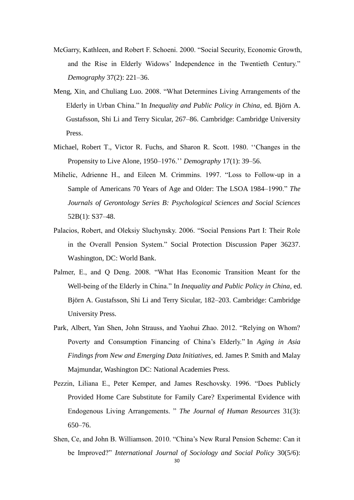- McGarry, Kathleen, and Robert F. Schoeni. 2000. "Social Security, Economic Growth, and the Rise in Elderly Widows' Independence in the Twentieth Century." *Demography* 37(2): 221–36.
- Meng, Xin, and Chuliang Luo. 2008. "What Determines Living Arrangements of the Elderly in Urban China." In *Inequality and Public Policy in China,* ed. Björn A. Gustafsson, Shi Li and Terry Sicular, 267–86. Cambridge: Cambridge University Press.
- Michael, Robert T., Victor R. Fuchs, and Sharon R. Scott. 1980. ''Changes in the Propensity to Live Alone, 1950–1976.'' *Demography* 17(1): 39–56.
- Mihelic, Adrienne H., and Eileen M. Crimmins. 1997. "Loss to Follow-up in a Sample of Americans 70 Years of Age and Older: The LSOA 1984–1990." *The Journals of Gerontology Series B: Psychological Sciences and Social Sciences* 52B(1): S37–48.
- Palacios, Robert, and Oleksiy Sluchynsky. 2006. "Social Pensions Part I: Their Role in the Overall Pension System." Social Protection Discussion Paper 36237. Washington, DC: World Bank.
- Palmer, E., and Q Deng. 2008. "What Has Economic Transition Meant for the Well-being of the Elderly in China." In *Inequality and Public Policy in China*, ed. Björn A. Gustafsson, Shi Li and Terry Sicular, 182–203. Cambridge: Cambridge University Press.
- Park, Albert, Yan Shen, John Strauss, and Yaohui Zhao. 2012. "Relying on Whom? Poverty and Consumption Financing of China's Elderly." In *Aging in Asia Findings from New and Emerging Data Initiatives,* ed. James P. Smith and Malay Majmundar, Washington DC: National Academies Press.
- Pezzin, Liliana E., Peter Kemper, and James Reschovsky. 1996. "Does Publicly Provided Home Care Substitute for Family Care? Experimental Evidence with Endogenous Living Arrangements. " *The Journal of Human Resources* 31(3): 650–76.
- Shen, Ce, and John B. Williamson. 2010. "China's New Rural Pension Scheme: Can it be Improved?" *International Journal of Sociology and Social Policy* 30(5/6):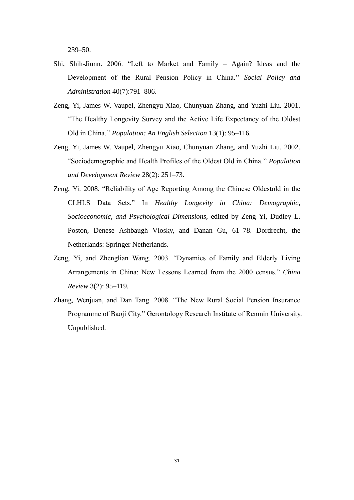239–50.

- Shi, Shih-Jiunn. 2006. "Left to Market and Family Again? Ideas and the Development of the Rural Pension Policy in China.'' *Social Policy and Administration* 40(7):791–806.
- Zeng, Yi, James W. Vaupel, Zhengyu Xiao, Chunyuan Zhang, and Yuzhi Liu. 2001. "The Healthy Longevity Survey and the Active Life Expectancy of the Oldest Old in China.'' *Population: An English Selection* 13(1): 95–116*.*
- Zeng, Yi, James W. Vaupel, Zhengyu Xiao, Chunyuan Zhang, and Yuzhi Liu. 2002. "Sociodemographic and Health Profiles of the Oldest Old in China.'' *Population and Development Review* 28(2): 251–73.
- Zeng, Yi. 2008. "Reliability of Age Reporting Among the Chinese Oldestold in the CLHLS Data Sets." In *Healthy Longevity in China: Demographic, Socioeconomic, and Psychological Dimensions,* edited by Zeng Yi, Dudley L. Poston, Denese Ashbaugh Vlosky, and Danan Gu, 61–78. Dordrecht, the Netherlands: Springer Netherlands.
- Zeng, Yi, and Zhenglian Wang. 2003. "Dynamics of Family and Elderly Living Arrangements in China: New Lessons Learned from the 2000 census." *China Review* 3(2): 95–119.
- Zhang, Wenjuan, and Dan Tang. 2008. "The New Rural Social Pension Insurance Programme of Baoji City." Gerontology Research Institute of Renmin University. Unpublished.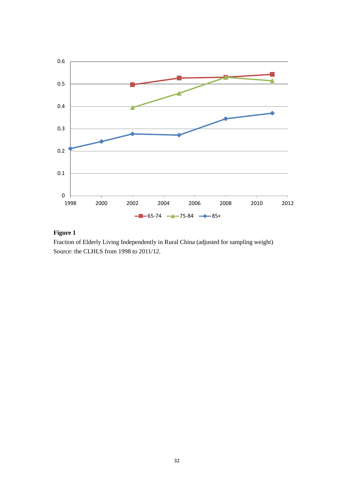

### **Figure 1**

Fraction of Elderly Living Independently in Rural China (adjusted for sampling weight) Source: the CLHLS from 1998 to 2011/12.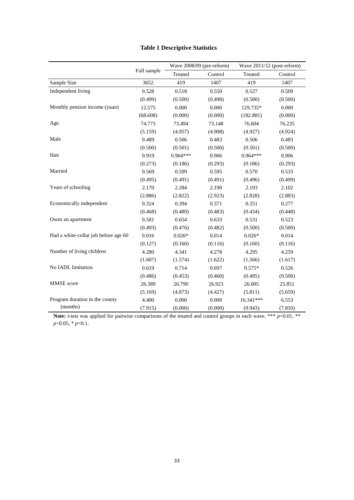|                                      |             | Wave 2008/09 (pre-reform) |         | Wave 2011/12 (post-reform) |         |
|--------------------------------------|-------------|---------------------------|---------|----------------------------|---------|
|                                      | Full sample | Treated                   | Control | Treated                    | Control |
| Sample Size                          | 3652        | 419                       | 1407    | 419                        | 1407    |
| Independent living                   | 0.528       | 0.518                     | 0.550   | 0.527                      | 0.509   |
|                                      | (0.499)     | (0.500)                   | (0.498) | (0.500)                    | (0.500) |
| Monthly pension income (yuan)        | 12.575      | 0.000                     | 0.000   | 129.735*                   | 0.000   |
|                                      | (68.608)    | (0.000)                   | (0.000) | (182.881)                  | (0.000) |
| Age                                  | 74.773      | 73.494                    | 73.148  | 76.604                     | 76.235  |
|                                      | (5.159)     | (4.957)                   | (4.908) | (4.927)                    | (4.924) |
| Male                                 | 0.489       | 0.506                     | 0.483   | 0.506                      | 0.483   |
|                                      | (0.500)     | (0.501)                   | (0.500) | (0.501)                    | (0.500) |
| Han                                  | 0.919       | $0.964***$                | 0.906   | $0.964***$                 | 0.906   |
|                                      | (0.273)     | (0.186)                   | (0.293) | (0.186)                    | (0.293) |
| Married                              | 0.569       | 0.599                     | 0.595   | 0.570                      | 0.533   |
|                                      | (0.495)     | (0.491)                   | (0.491) | (0.496)                    | (0.499) |
| Years of schooling                   | 2.170       | 2.284                     | 2.190   | 2.193                      | 2.102   |
|                                      | (2.886)     | (2.822)                   | (2.923) | (2.828)                    | (2.883) |
| Economically independent             | 0.324       | 0.394                     | 0.371   | 0.251                      | 0.277   |
|                                      | (0.468)     | (0.489)                   | (0.483) | (0.434)                    | (0.448) |
| Owns an apartment                    | 0.581       | 0.654                     | 0.633   | 0.531                      | 0.523   |
|                                      | (0.493)     | (0.476)                   | (0.482) | (0.500)                    | (0.500) |
| Had a white-collar job before age 60 | 0.016       | $0.026*$                  | 0.014   | $0.026*$                   | 0.014   |
|                                      | (0.127)     | (0.160)                   | (0.116) | (0.160)                    | (0.116) |
| Number of living children            | 4.280       | 4.341                     | 4.278   | 4.295                      | 4.259   |
|                                      | (1.607)     | (1.574)                   | (1.622) | (1.566)                    | (1.617) |
| No IADL limitation                   | 0.619       | 0.714                     | 0.697   | $0.575*$                   | 0.526   |
|                                      | (0.486)     | (0.453)                   | (0.460) | (0.495)                    | (0.500) |
| MMSE score                           | 26.389      | 26.790                    | 26.923  | 26.005                     | 25.851  |
|                                      | (5.169)     | (4.873)                   | (4.427) | (5.811)                    | (5.659) |
| Program duration in the county       | 4.400       | 0.000                     | 0.000   | 16.341***                  | 6.553   |
| (months)                             | (7.915)     | (0.000)                   | (0.000) | (9.943)                    | (7.810) |

### **Table 1 Descriptive Statistics**

**Note:** *t*-test was applied for pairwise comparisons of the treated and control groups in each wave. \*\*\* *p*<0.01, \*\* *p*<0.05, \* *p*<0.1.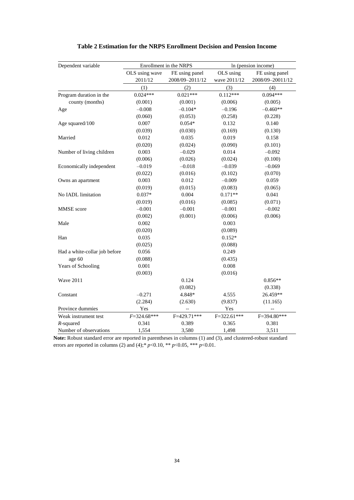| Dependent variable            | Enrollment in the NRPS |                 |              | In (pension income) |
|-------------------------------|------------------------|-----------------|--------------|---------------------|
|                               | OLS using wave         | FE using panel  | OLS using    | FE using panel      |
|                               | 2011/12                | 2008/09-2011/12 | wave 2011/12 | 2008/09-20011/12    |
|                               | (1)                    | (2)             | (3)          | (4)                 |
| Program duration in the       | $0.024***$             | $0.021***$      | $0.112***$   | $0.094***$          |
| county (months)               | (0.001)                | (0.001)         | (0.006)      | (0.005)             |
| Age                           | $-0.008$               | $-0.104*$       | $-0.196$     | $-0.460**$          |
|                               | (0.060)                | (0.053)         | (0.258)      | (0.228)             |
| Age squared/100               | 0.007                  | $0.054*$        | 0.132        | 0.140               |
|                               | (0.039)                | (0.030)         | (0.169)      | (0.130)             |
| Married                       | 0.012                  | 0.035           | 0.019        | 0.158               |
|                               | (0.020)                | (0.024)         | (0.090)      | (0.101)             |
| Number of living children     | 0.003                  | $-0.029$        | 0.014        | $-0.092$            |
|                               | (0.006)                | (0.026)         | (0.024)      | (0.100)             |
| Economically independent      | $-0.019$               | $-0.018$        | $-0.039$     | $-0.069$            |
|                               | (0.022)                | (0.016)         | (0.102)      | (0.070)             |
| Owns an apartment             | 0.003                  | 0.012           | $-0.009$     | 0.059               |
|                               | (0.019)                | (0.015)         | (0.083)      | (0.065)             |
| No IADL limitation            | $0.037*$               | 0.004           | $0.171**$    | 0.041               |
|                               | (0.019)                | (0.016)         | (0.085)      | (0.071)             |
| MMSE score                    | $-0.001$               | $-0.001$        | $-0.001$     | $-0.002$            |
|                               | (0.002)                | (0.001)         | (0.006)      | (0.006)             |
| Male                          | 0.002                  |                 | 0.003        |                     |
|                               | (0.020)                |                 | (0.089)      |                     |
| Han                           | 0.035                  |                 | $0.152*$     |                     |
|                               | (0.025)                |                 | (0.088)      |                     |
| Had a white-collar job before | 0.056                  |                 | 0.249        |                     |
| age 60                        | (0.088)                |                 | (0.435)      |                     |
| Years of Schooling            | 0.001                  |                 | 0.008        |                     |
|                               | (0.003)                |                 | (0.016)      |                     |
| <b>Wave 2011</b>              |                        | 0.124           |              | $0.856**$           |
|                               |                        | (0.082)         |              | (0.338)             |
| Constant                      | $-0.271$               | 4.848*          | 4.555        | 26.459**            |
|                               | (2.284)                | (2.630)         | (9.837)      | (11.165)            |
| Province dummies              | Yes                    | ۵.              | Yes          |                     |
| Weak instrument test          | $F = 324.68$ ***       | F=429.71***     | F=322.61***  | F=394.80***         |
| $R$ -squared                  | 0.341                  | 0.389           | 0.365        | 0.381               |
| Number of observations        | 1,554                  | 3,580           | 1,498        | 3,511               |

#### **Table 2 Estimation for the NRPS Enrollment Decision and Pension Income**

**Note:** Robust standard error are reported in parentheses in columns (1) and (3), and clustered-robust standard errors are reported in columns (2) and (4);\* *p*<0.10, \*\* *p*<0.05, \*\*\* *p*<0.01.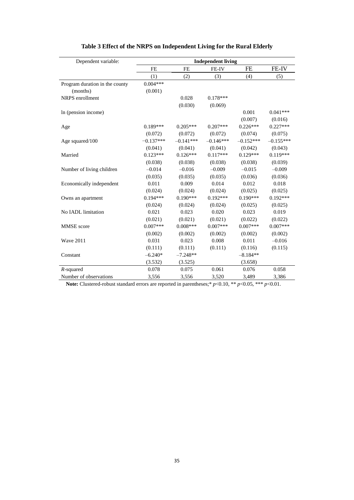| Dependent variable:            | <b>Independent living</b> |             |             |             |             |  |
|--------------------------------|---------------------------|-------------|-------------|-------------|-------------|--|
|                                | <b>FE</b>                 | FE          | FE-IV       | FE          | FE-IV       |  |
|                                | (1)                       | (2)         | (3)         | (4)         | (5)         |  |
| Program duration in the county | $0.004***$                |             |             |             |             |  |
| (months)                       | (0.001)                   |             |             |             |             |  |
| NRPS enrollment                |                           | 0.028       | $0.178***$  |             |             |  |
|                                |                           | (0.030)     | (0.069)     |             |             |  |
| In (pension income)            |                           |             |             | 0.001       | $0.041***$  |  |
|                                |                           |             |             | (0.007)     | (0.016)     |  |
| Age                            | $0.189***$                | $0.205***$  | $0.207***$  | $0.226***$  | $0.227***$  |  |
|                                | (0.072)                   | (0.072)     | (0.072)     | (0.074)     | (0.075)     |  |
| Age squared/100                | $-0.137***$               | $-0.141***$ | $-0.146***$ | $-0.152***$ | $-0.155***$ |  |
|                                | (0.041)                   | (0.041)     | (0.041)     | (0.042)     | (0.043)     |  |
| Married                        | $0.123***$                | $0.126***$  | $0.117***$  | $0.129***$  | $0.119***$  |  |
|                                | (0.038)                   | (0.038)     | (0.038)     | (0.038)     | (0.039)     |  |
| Number of living children      | $-0.014$                  | $-0.016$    | $-0.009$    | $-0.015$    | $-0.009$    |  |
|                                | (0.035)                   | (0.035)     | (0.035)     | (0.036)     | (0.036)     |  |
| Economically independent       | 0.011                     | 0.009       | 0.014       | 0.012       | 0.018       |  |
|                                | (0.024)                   | (0.024)     | (0.024)     | (0.025)     | (0.025)     |  |
| Owns an apartment              | $0.194***$                | $0.190***$  | $0.192***$  | $0.190***$  | $0.192***$  |  |
|                                | (0.024)                   | (0.024)     | (0.024)     | (0.025)     | (0.025)     |  |
| No IADL limitation             | 0.021                     | 0.023       | 0.020       | 0.023       | 0.019       |  |
|                                | (0.021)                   | (0.021)     | (0.021)     | (0.022)     | (0.022)     |  |
| <b>MMSE</b> score              | $0.007***$                | $0.008***$  | $0.007***$  | $0.007***$  | $0.007***$  |  |
|                                | (0.002)                   | (0.002)     | (0.002)     | (0.002)     | (0.002)     |  |
| <b>Wave 2011</b>               | 0.031                     | 0.023       | 0.008       | 0.011       | $-0.016$    |  |
|                                | (0.111)                   | (0.111)     | (0.111)     | (0.116)     | (0.115)     |  |
| Constant                       | $-6.240*$                 | $-7.248**$  |             | $-8.184**$  |             |  |
|                                | (3.532)                   | (3.525)     |             | (3.658)     |             |  |
| $R$ -squared                   | 0.078                     | 0.075       | 0.061       | 0.076       | 0.058       |  |
| Number of observations         | 3,556                     | 3,556       | 3.520       | 3,489       | 3,386       |  |

### **Table 3 Effect of the NRPS on Independent Living for the Rural Elderly**

**Note:** Clustered-robust standard errors are reported in parentheses;\*  $p$  <0.10, \*\*  $p$  <0.05, \*\*\*  $p$  <0.01.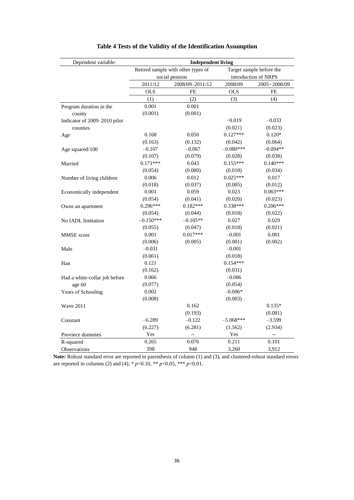| Dependent variable:           | <b>Independent living</b> |                                    |             |                          |  |
|-------------------------------|---------------------------|------------------------------------|-------------|--------------------------|--|
|                               |                           | Retired sample with other types of |             | Target sample before the |  |
|                               |                           | social pension                     |             | introduction of NRPS     |  |
|                               | 2011/12                   | 2008/09-2011/12                    | 2008/09     | 2005-2008/09             |  |
|                               | <b>OLS</b>                | FE                                 | <b>OLS</b>  | $FE$                     |  |
|                               | (1)                       | (2)                                | (3)         | (4)                      |  |
| Program duration in the       | 0.001                     | 0.001                              |             |                          |  |
| county                        | (0.001)                   | (0.001)                            |             |                          |  |
| Indicator of 2009-2010 pilot  |                           |                                    | $-0.019$    | $-0.033$                 |  |
| counties                      |                           |                                    | (0.021)     | (0.023)                  |  |
| Age                           | 0.168                     | 0.050                              | $0.127***$  | $0.120*$                 |  |
|                               | (0.163)                   | (0.132)                            | (0.042)     | (0.064)                  |  |
| Age squared/100               | $-0.107$                  | $-0.067$                           | $-0.080***$ | $-0.094**$               |  |
|                               | (0.107)                   | (0.079)                            | (0.028)     | (0.038)                  |  |
| Married                       | $0.171***$                | 0.043                              | $0.155***$  | $0.140***$               |  |
|                               | (0.054)                   | (0.080)                            | (0.018)     | (0.034)                  |  |
| Number of living children     | 0.006                     | 0.012                              | $0.025***$  | 0.017                    |  |
|                               | (0.018)                   | (0.037)                            | (0.005)     | (0.012)                  |  |
| Economically independent      | 0.001                     | 0.059                              | 0.023       | $0.063***$               |  |
|                               | (0.054)                   | (0.041)                            | (0.020)     | (0.023)                  |  |
| Owns an apartment             | $0.296***$                | $0.182***$                         | 0.338***    | $0.206***$               |  |
|                               | (0.054)                   | (0.044)                            | (0.018)     | (0.022)                  |  |
| No IADL limitation            | $-0.150***$               | $-0.105**$                         | 0.027       | 0.029                    |  |
|                               | (0.055)                   | (0.047)                            | (0.018)     | (0.021)                  |  |
| MMSE score                    | 0.001                     | $0.017***$                         | $-0.001$    | 0.001                    |  |
|                               | (0.006)                   | (0.005)                            | (0.001)     | (0.002)                  |  |
| Male                          | $-0.031$                  |                                    | $-0.001$    |                          |  |
|                               | (0.061)                   |                                    | (0.018)     |                          |  |
| Han                           | 0.121                     |                                    | $0.154***$  |                          |  |
|                               | (0.162)                   |                                    | (0.031)     |                          |  |
| Had a white-collar job before | 0.066                     |                                    | $-0.086$    |                          |  |
| age 60                        | (0.077)                   |                                    | (0.054)     |                          |  |
| Years of Schooling            | 0.002                     |                                    | $-0.006*$   |                          |  |
|                               | (0.008)                   |                                    | (0.003)     |                          |  |
| <b>Wave 2011</b>              |                           | 0.162                              |             | $0.135*$                 |  |
|                               |                           | (0.193)                            |             | (0.081)                  |  |
| Constant                      | $-6.289$                  | $-0.122$                           | $-5.068***$ | $-3.599$                 |  |
|                               | (6.227)                   | (6.281)                            | (1.562)     | (2.934)                  |  |
| Province dummies              | Yes                       | $\overline{\phantom{a}}$           | Yes         | $\overline{\phantom{a}}$ |  |
| R-squared                     | 0.265                     | 0.076                              | 0.211       | 0.101                    |  |
| Observations                  | 398                       | 948                                | 3,260       | 3,912                    |  |

### **Table 4 Tests of the Validity of the Identification Assumption**

**Note:** Robust standard error are reported in parenthesis of column (1) and (3), and clustered-robust standard errors are reported in columns (2) and (4); \* *p*<0.10, \*\* *p*<0.05, \*\*\* *p*<0.01.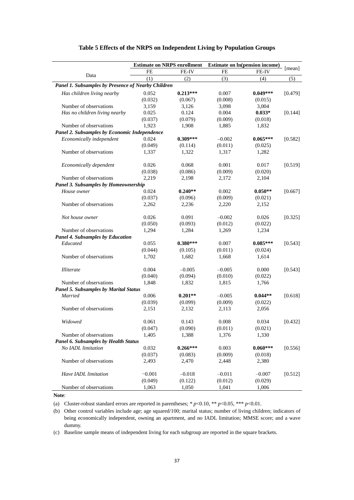|                                                    | <b>Estimate on NRPS enrollment</b> |            |          | <b>Estimate on In(pension income)</b> |         |
|----------------------------------------------------|------------------------------------|------------|----------|---------------------------------------|---------|
|                                                    | FE                                 | FE-IV      | FE       | FE-IV                                 | [mean]  |
| Data                                               | (1)                                | (2)        | (3)      | (4)                                   | (5)     |
| Panel 1. Subsamples by Presence of Nearby Children |                                    |            |          |                                       |         |
| Has children living nearby                         | 0.052                              | $0.213***$ | 0.007    | $0.049***$                            | [0.479] |
|                                                    | (0.032)                            | (0.067)    | (0.008)  | (0.015)                               |         |
| Number of observations                             | 3,159                              | 3,126      | 3,098    | 3,004                                 |         |
| Has no children living nearby                      | 0.025                              | 0.124      | 0.004    | $0.033*$                              | [0.144] |
|                                                    | (0.037)                            | (0.079)    | (0.009)  | (0.018)                               |         |
| Number of observations                             | 1,923                              | 1,908      | 1,885    | 1,832                                 |         |
| Panel 2. Subsamples by Economic Independence       |                                    |            |          |                                       |         |
| Economically independent                           | 0.024                              | $0.309***$ | $-0.002$ | $0.065***$                            | [0.582] |
|                                                    | (0.049)                            | (0.114)    | (0.011)  | (0.025)                               |         |
| Number of observations                             | 1,337                              | 1,322      | 1,317    | 1,282                                 |         |
| Economically dependent                             | 0.026                              | 0.068      | 0.001    | 0.017                                 | [0.519] |
|                                                    | (0.038)                            | (0.086)    | (0.009)  | (0.020)                               |         |
| Number of observations                             | 2,219                              | 2,198      | 2,172    | 2,104                                 |         |
| Panel 3. Subsamples by Homeownership               |                                    |            |          |                                       |         |
| House owner                                        | 0.024                              | $0.240**$  | 0.002    | $0.050**$                             | [0.667] |
|                                                    | (0.037)                            | (0.096)    | (0.009)  | (0.021)                               |         |
| Number of observations                             | 2,262                              | 2,236      | 2,220    | 2,152                                 |         |
| Not house owner                                    | 0.026                              | 0.091      | $-0.002$ | 0.026                                 | [0.325] |
|                                                    | (0.050)                            | (0.093)    | (0.012)  | (0.022)                               |         |
| Number of observations                             | 1,294                              | 1,284      | 1,269    | 1,234                                 |         |
| Panel 4. Subsamples by Education                   |                                    |            |          |                                       |         |
| Educated                                           | 0.055                              | $0.380***$ | 0.007    | $0.085***$                            | [0.543] |
|                                                    | (0.044)                            | (0.105)    | (0.011)  | (0.024)                               |         |
| Number of observations                             | 1,702                              | 1,682      | 1,668    | 1,614                                 |         |
| <i>Illiterate</i>                                  | 0.004                              | $-0.005$   | $-0.005$ | 0.000                                 | [0.543] |
|                                                    | (0.040)                            | (0.094)    | (0.010)  | (0.022)                               |         |
| Number of observations                             | 1,848                              | 1,832      | 1,815    | 1,766                                 |         |
| <b>Panel 5. Subsamples by Marital Status</b>       |                                    |            |          |                                       |         |
| Married                                            | 0.006                              | $0.201**$  | $-0.005$ | $0.044**$                             | [0.618] |
|                                                    | (0.039)                            | (0.099)    | (0.009)  | (0.022)                               |         |
| Number of observations                             | 2,151                              | 2,132      | 2,113    | 2,056                                 |         |
| Widowed                                            | 0.061                              | 0.143      | 0.008    | 0.034                                 | [0.432] |
|                                                    | (0.047)                            | (0.090)    | (0.011)  | (0.021)                               |         |
| Number of observations                             | 1,405                              | 1,388      | 1,376    | 1,330                                 |         |
| Panel 6. Subsamples by Health Status               |                                    |            |          |                                       |         |
| No IADL limitation                                 | 0.032                              | $0.266***$ | 0.003    | $0.060***$                            | [0.556] |
|                                                    | (0.037)                            | (0.083)    | (0.009)  | (0.018)                               |         |
| Number of observations                             | 2,493                              | 2,470      | 2,448    | 2,380                                 |         |
| Have IADL limitation                               | $-0.001$                           | $-0.018$   | $-0.011$ | $-0.007$                              | [0.512] |
|                                                    | (0.049)                            | (0.122)    | (0.012)  | (0.029)                               |         |
| Number of observations                             | 1,063                              | 1,050      | 1,041    | 1,006                                 |         |

#### **Table 5 Effects of the NRPS on Independent Living by Population Groups**

#### **Note**:

(a) Cluster-robust standard errors are reported in parentheses; \* *p*<0.10, \*\* *p*<0.05, \*\*\* *p*<0.01.

(b) Other control variables include age; age squared/100; marital status; number of living children; indicators of being economically independent, owning an apartment, and no IADL limitation; MMSE score; and a wave dummy.

(c) Baseline sample means of independent living for each subgroup are reported in the square brackets.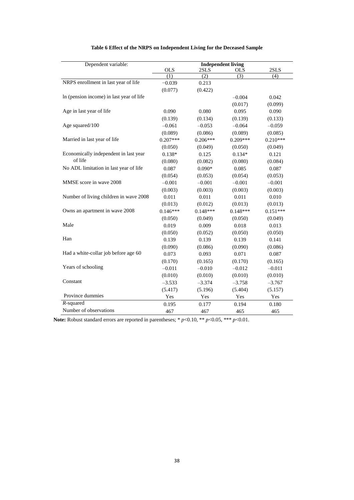| Dependent variable:                      | <b>Independent living</b> |                  |                  |            |  |
|------------------------------------------|---------------------------|------------------|------------------|------------|--|
|                                          | <b>OLS</b>                | 2SLS             | <b>OLS</b>       | 2SLS       |  |
|                                          | (1)                       | $\overline{(2)}$ | $\overline{(3)}$ | (4)        |  |
| NRPS enrollment in last year of life     | $-0.039$                  | 0.213            |                  |            |  |
|                                          | (0.077)                   | (0.422)          |                  |            |  |
| In (pension income) in last year of life |                           |                  | $-0.004$         | 0.042      |  |
|                                          |                           |                  | (0.017)          | (0.099)    |  |
| Age in last year of life                 | 0.090                     | 0.080            | 0.095            | 0.090      |  |
|                                          | (0.139)                   | (0.134)          | (0.139)          | (0.133)    |  |
| Age squared/100                          | $-0.061$                  | $-0.053$         | $-0.064$         | $-0.059$   |  |
|                                          | (0.089)                   | (0.086)          | (0.089)          | (0.085)    |  |
| Married in last year of life             | $0.207***$                | $0.206***$       | $0.209***$       | $0.210***$ |  |
|                                          | (0.050)                   | (0.049)          | (0.050)          | (0.049)    |  |
| Economically independent in last year    | $0.138*$                  | 0.125            | $0.134*$         | 0.121      |  |
| of life                                  | (0.080)                   | (0.082)          | (0.080)          | (0.084)    |  |
| No ADL limitation in last year of life   | 0.087                     | $0.090*$         | 0.085            | 0.087      |  |
|                                          | (0.054)                   | (0.053)          | (0.054)          | (0.053)    |  |
| MMSE score in wave 2008                  | $-0.001$                  | $-0.001$         | $-0.001$         | $-0.001$   |  |
|                                          | (0.003)                   | (0.003)          | (0.003)          | (0.003)    |  |
| Number of living children in wave 2008   | 0.011                     | 0.011            | 0.011            | 0.010      |  |
|                                          | (0.013)                   | (0.012)          | (0.013)          | (0.013)    |  |
| Owns an apartment in wave 2008           | $0.146***$                | $0.148***$       | $0.148***$       | $0.151***$ |  |
|                                          | (0.050)                   | (0.049)          | (0.050)          | (0.049)    |  |
| Male                                     | 0.019                     | 0.009            | 0.018            | 0.013      |  |
|                                          | (0.050)                   | (0.052)          | (0.050)          | (0.050)    |  |
| Han                                      | 0.139                     | 0.139            | 0.139            | 0.141      |  |
|                                          | (0.090)                   | (0.086)          | (0.090)          | (0.086)    |  |
| Had a white-collar job before age 60     | 0.073                     | 0.093            | 0.071            | 0.087      |  |
|                                          | (0.170)                   | (0.165)          | (0.170)          | (0.165)    |  |
| Years of schooling                       | $-0.011$                  | $-0.010$         | $-0.012$         | $-0.011$   |  |
|                                          | (0.010)                   | (0.010)          | (0.010)          | (0.010)    |  |
| Constant                                 | $-3.533$                  | $-3.374$         | $-3.758$         | $-3.767$   |  |
|                                          | (5.417)                   | (5.196)          | (5.404)          | (5.157)    |  |
| Province dummies                         | Yes                       | Yes              | Yes              | Yes        |  |
| $R$ -squared                             | 0.195                     | 0.177            | 0.194            | 0.180      |  |
| Number of observations                   | 467                       | 467              | 465              | 465        |  |

#### **Table 6 Effect of the NRPS on Independent Living for the Deceased Sample**

**Note:** Robust standard errors are reported in parentheses; \* *p*<0.10, \*\* *p*<0.05, \*\*\* *p*<0.01.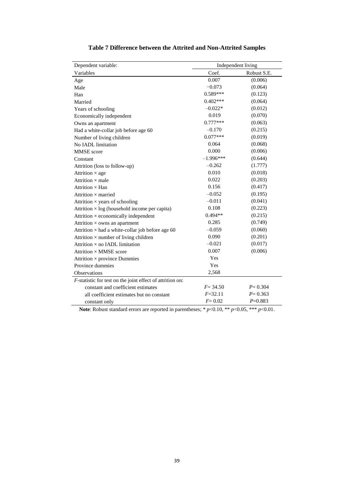| Dependent variable:                                       | Independent living |             |  |  |
|-----------------------------------------------------------|--------------------|-------------|--|--|
| Variables                                                 | Coef.              | Robust S.E. |  |  |
| Age                                                       | 0.007              | (0.006)     |  |  |
| Male                                                      | $-0.073$           | (0.064)     |  |  |
| Han                                                       | $0.589***$         | (0.123)     |  |  |
| Married                                                   | $0.402***$         | (0.064)     |  |  |
| Years of schooling                                        | $-0.022*$          | (0.012)     |  |  |
| Economically independent                                  | 0.019              | (0.070)     |  |  |
| Owns an apartment                                         | $0.777***$         | (0.063)     |  |  |
| Had a white-collar job before age 60                      | $-0.170$           | (0.215)     |  |  |
| Number of living children                                 | $0.077***$         | (0.019)     |  |  |
| No IADL limitation                                        | 0.064              | (0.068)     |  |  |
| <b>MMSE</b> score                                         | 0.000              | (0.006)     |  |  |
| Constant                                                  | $-1.996***$        | (0.644)     |  |  |
| Attrition (loss to follow-up)                             | $-0.262$           | (1.777)     |  |  |
| Attrition $\times$ age                                    | 0.010              | (0.018)     |  |  |
| Attrition $\times$ male                                   | 0.022              | (0.203)     |  |  |
| Attrition $\times$ Han                                    | 0.156              | (0.417)     |  |  |
| Attrition $\times$ married                                | $-0.052$           | (0.195)     |  |  |
| Attrition $\times$ years of schooling                     | $-0.011$           | (0.041)     |  |  |
| Attrition $\times$ log (household income per capita)      | 0.108              | (0.223)     |  |  |
| Attrition $\times$ economically independent               | $0.494**$          | (0.215)     |  |  |
| Attrition $\times$ owns an apartment                      | 0.285              | (0.749)     |  |  |
| Attrition $\times$ had a white-collar job before age 60   | $-0.059$           | (0.060)     |  |  |
| Attrition $\times$ number of living children              | 0.090              | (0.201)     |  |  |
| Attrition $\times$ no IADL limitation                     | $-0.021$           | (0.017)     |  |  |
| Attrition × MMSE score                                    | 0.007              | (0.006)     |  |  |
| Attrition × province Dummies                              | Yes                |             |  |  |
| Province dummies                                          | Yes                |             |  |  |
| Observations                                              | 2,568              |             |  |  |
| F-statistic for test on the joint effect of attrition on: |                    |             |  |  |
| constant and coefficient estimates                        | $F = 34.50$        | $P = 0.304$ |  |  |
| all coefficient estimates but no constant                 | $F = 32.11$        | $P = 0.363$ |  |  |
| constant only                                             | $F = 0.02$         | $P=0.883$   |  |  |

Note: Robust standard errors are reported in parentheses; \* *p*<0.10, \*\* *p*<0.05, \*\*\* *p*<0.01.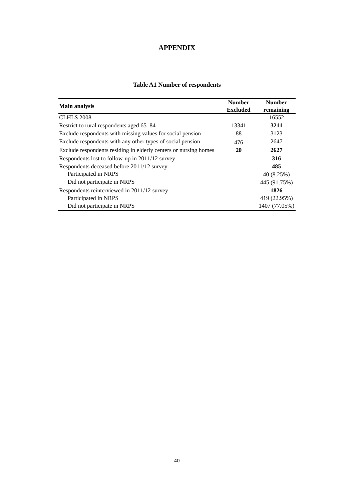### **APPENDIX**

| <b>Main analysis</b>                                             | <b>Number</b><br><b>Excluded</b> | <b>Number</b><br>remaining |
|------------------------------------------------------------------|----------------------------------|----------------------------|
| <b>CLHLS 2008</b>                                                |                                  | 16552                      |
| Restrict to rural respondents aged 65–84                         | 13341                            | 3211                       |
| Exclude respondents with missing values for social pension       | 88                               | 3123                       |
| Exclude respondents with any other types of social pension       | 476                              | 2647                       |
| Exclude respondents residing in elderly centers or nursing homes | 20                               | 2627                       |
| Respondents lost to follow-up in 2011/12 survey                  |                                  | 316                        |
| Respondents deceased before 2011/12 survey                       |                                  | 485                        |
| Participated in NRPS                                             |                                  | 40 (8.25%)                 |
| Did not participate in NRPS                                      |                                  | 445 (91.75%)               |
| Respondents reinterviewed in 2011/12 survey                      |                                  | 1826                       |
| Participated in NRPS                                             |                                  | 419 (22.95%)               |
| Did not participate in NRPS                                      |                                  | 1407 (77.05%)              |

### **Table A1 Number of respondents**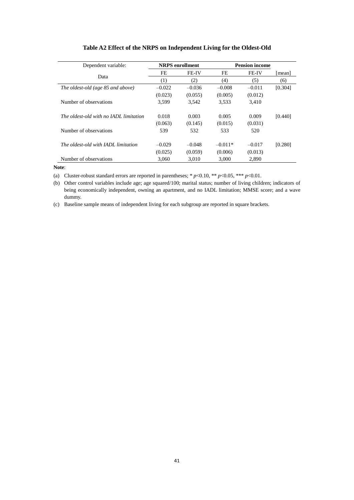| Dependent variable:                    |          | <b>NRPS</b> enrollment |           | <b>Pension income</b> |         |
|----------------------------------------|----------|------------------------|-----------|-----------------------|---------|
| Data                                   | FE       | <b>FE-IV</b>           | FE        | <b>FE-IV</b>          | [mean]  |
|                                        | (1)      | (2)                    | (4)       | (5)                   | (6)     |
| The oldest-old (age 85 and above)      | $-0.022$ | $-0.036$               | $-0.008$  | $-0.011$              | [0.304] |
|                                        | (0.023)  | (0.055)                | (0.005)   | (0.012)               |         |
| Number of observations                 | 3.599    | 3.542                  | 3,533     | 3.410                 |         |
|                                        |          |                        |           |                       |         |
| The oldest-old with no IADL limitation | 0.018    | 0.003                  | 0.005     | 0.009                 | [0.440] |
|                                        | (0.063)  | (0.145)                | (0.015)   | (0.031)               |         |
| Number of observations                 | 539      | 532                    | 533       | 520                   |         |
|                                        |          |                        |           |                       |         |
| The oldest-old with IADL limitation    | $-0.029$ | $-0.048$               | $-0.011*$ | $-0.017$              | [0.280] |
|                                        | (0.025)  | (0.059)                | (0.006)   | (0.013)               |         |
| Number of observations                 | 3,060    | 3,010                  | 3.000     | 2,890                 |         |

#### **Table A2 Effect of the NRPS on Independent Living for the Oldest-Old**

**Note**:

(a) Cluster-robust standard errors are reported in parentheses; \*  $p$  < 0.10, \*\*  $p$  < 0.05, \*\*\*  $p$  < 0.01.

(b) Other control variables include age; age squared/100; marital status; number of living children; indicators of being economically independent, owning an apartment, and no IADL limitation; MMSE score; and a wave dummy.

(c) Baseline sample means of independent living for each subgroup are reported in square brackets.